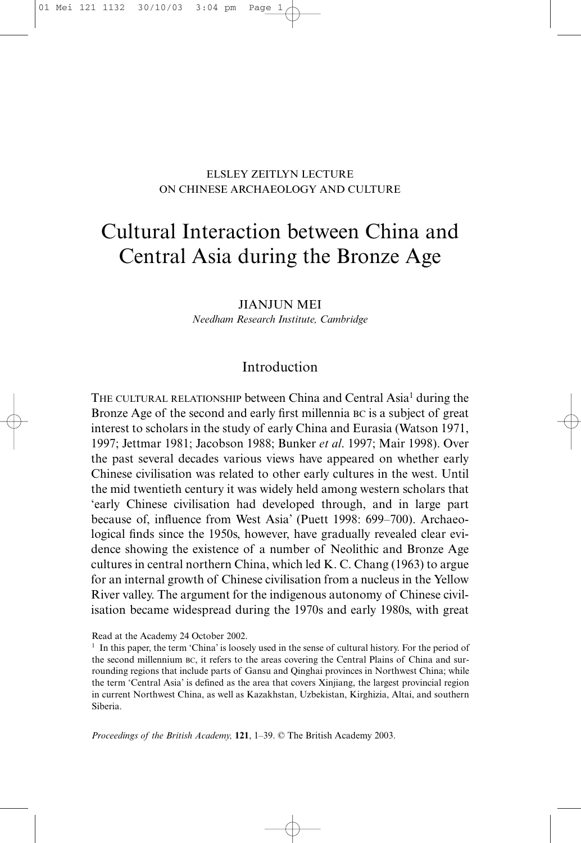## ELSLEY ZEITLYN LECTURE ON CHINESE ARCHAEOLOGY AND CULTURE

# Cultural Interaction between China and Central Asia during the Bronze Age

JIANJUN MEI *Needham Research Institute, Cambridge*

# Introduction

THE CULTURAL RELATIONSHIP between China and Central Asia<sup>1</sup> during the Bronze Age of the second and early first millennia BC is a subject of great interest to scholars in the study of early China and Eurasia (Watson 1971, 1997; Jettmar 1981; Jacobson 1988; Bunker *et al*. 1997; Mair 1998). Over the past several decades various views have appeared on whether early Chinese civilisation was related to other early cultures in the west. Until the mid twentieth century it was widely held among western scholars that 'early Chinese civilisation had developed through, and in large part because of, influence from West Asia' (Puett 1998: 699–700). Archaeological finds since the 1950s, however, have gradually revealed clear evidence showing the existence of a number of Neolithic and Bronze Age cultures in central northern China, which led K. C. Chang (1963) to argue for an internal growth of Chinese civilisation from a nucleus in the Yellow River valley. The argument for the indigenous autonomy of Chinese civilisation became widespread during the 1970s and early 1980s, with great

Read at the Academy 24 October 2002.

 $<sup>1</sup>$  In this paper, the term 'China' is loosely used in the sense of cultural history. For the period of</sup> the second millennium BC, it refers to the areas covering the Central Plains of China and surrounding regions that include parts of Gansu and Qinghai provinces in Northwest China; while the term 'Central Asia' is defined as the area that covers Xinjiang, the largest provincial region in current Northwest China, as well as Kazakhstan, Uzbekistan, Kirghizia, Altai, and southern Siberia.

*Proceedings of the British Academy,* **121**, 1–39. © The British Academy 2003.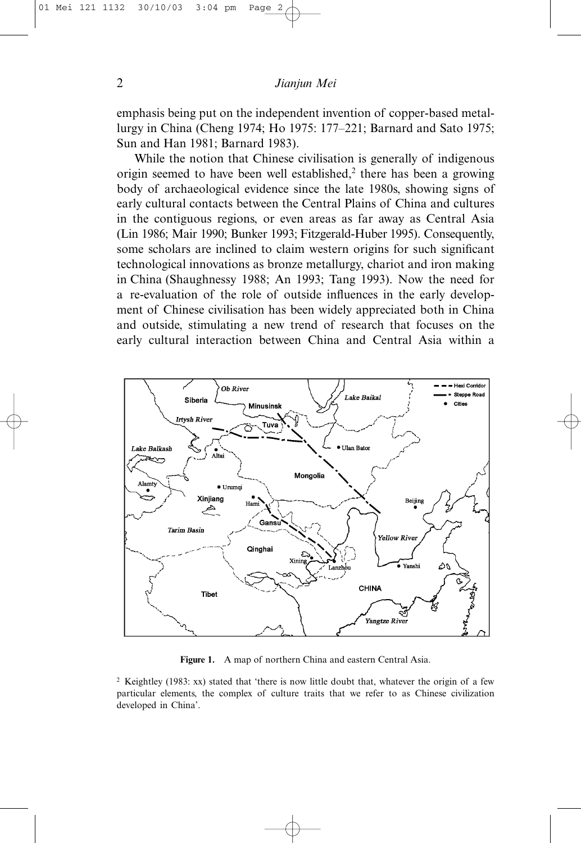emphasis being put on the independent invention of copper-based metallurgy in China (Cheng 1974; Ho 1975: 177–221; Barnard and Sato 1975; Sun and Han 1981; Barnard 1983).

While the notion that Chinese civilisation is generally of indigenous origin seemed to have been well established,<sup>2</sup> there has been a growing body of archaeological evidence since the late 1980s, showing signs of early cultural contacts between the Central Plains of China and cultures in the contiguous regions, or even areas as far away as Central Asia (Lin 1986; Mair 1990; Bunker 1993; Fitzgerald-Huber 1995). Consequently, some scholars are inclined to claim western origins for such significant technological innovations as bronze metallurgy, chariot and iron making in China (Shaughnessy 1988; An 1993; Tang 1993). Now the need for a re-evaluation of the role of outside influences in the early development of Chinese civilisation has been widely appreciated both in China and outside, stimulating a new trend of research that focuses on the early cultural interaction between China and Central Asia within a



**Figure 1.** A map of northern China and eastern Central Asia.

<sup>2</sup> Keightley (1983: xx) stated that 'there is now little doubt that, whatever the origin of a few particular elements, the complex of culture traits that we refer to as Chinese civilization developed in China'.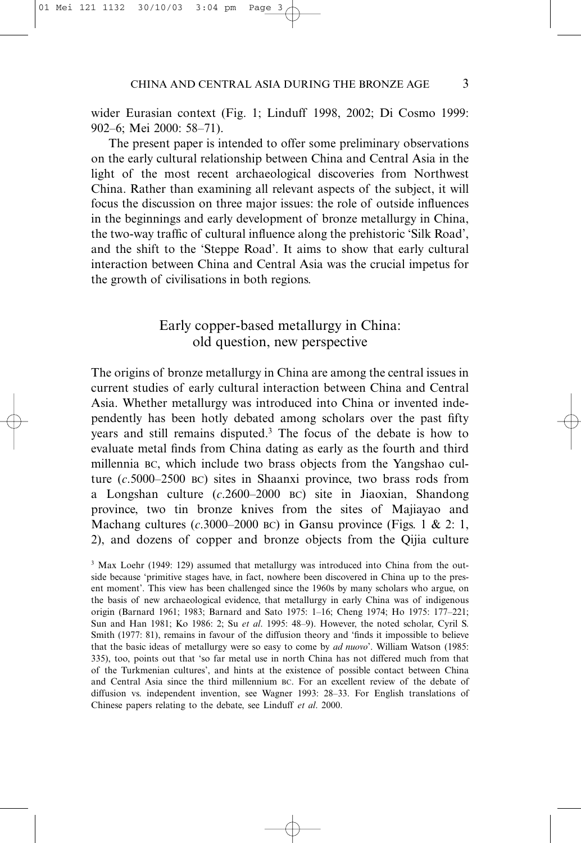wider Eurasian context (Fig. 1; Linduff 1998, 2002; Di Cosmo 1999: 902–6; Mei 2000: 58–71).

The present paper is intended to offer some preliminary observations on the early cultural relationship between China and Central Asia in the light of the most recent archaeological discoveries from Northwest China. Rather than examining all relevant aspects of the subject, it will focus the discussion on three major issues: the role of outside influences in the beginnings and early development of bronze metallurgy in China, the two-way traffic of cultural influence along the prehistoric 'Silk Road', and the shift to the 'Steppe Road'. It aims to show that early cultural interaction between China and Central Asia was the crucial impetus for the growth of civilisations in both regions.

# Early copper-based metallurgy in China: old question, new perspective

The origins of bronze metallurgy in China are among the central issues in current studies of early cultural interaction between China and Central Asia. Whether metallurgy was introduced into China or invented independently has been hotly debated among scholars over the past fifty years and still remains disputed.3 The focus of the debate is how to evaluate metal finds from China dating as early as the fourth and third millennia BC, which include two brass objects from the Yangshao culture (*c*.5000–2500 BC) sites in Shaanxi province, two brass rods from a Longshan culture (*c*.2600–2000 BC) site in Jiaoxian, Shandong province, two tin bronze knives from the sites of Majiayao and Machang cultures  $(c.3000-2000 \text{ BC})$  in Gansu province (Figs. 1 & 2: 1, 2), and dozens of copper and bronze objects from the Qijia culture

<sup>&</sup>lt;sup>3</sup> Max Loehr (1949: 129) assumed that metallurgy was introduced into China from the outside because 'primitive stages have, in fact, nowhere been discovered in China up to the present moment'. This view has been challenged since the 1960s by many scholars who argue, on the basis of new archaeological evidence, that metallurgy in early China was of indigenous origin (Barnard 1961; 1983; Barnard and Sato 1975: 1–16; Cheng 1974; Ho 1975: 177–221; Sun and Han 1981; Ko 1986: 2; Su *et al*. 1995: 48–9). However, the noted scholar, Cyril S. Smith (1977: 81), remains in favour of the diffusion theory and 'finds it impossible to believe that the basic ideas of metallurgy were so easy to come by *ad nuovo*'. William Watson (1985: 335), too, points out that 'so far metal use in north China has not differed much from that of the Turkmenian cultures', and hints at the existence of possible contact between China and Central Asia since the third millennium BC. For an excellent review of the debate of diffusion vs. independent invention, see Wagner 1993: 28–33. For English translations of Chinese papers relating to the debate, see Linduff *et al*. 2000.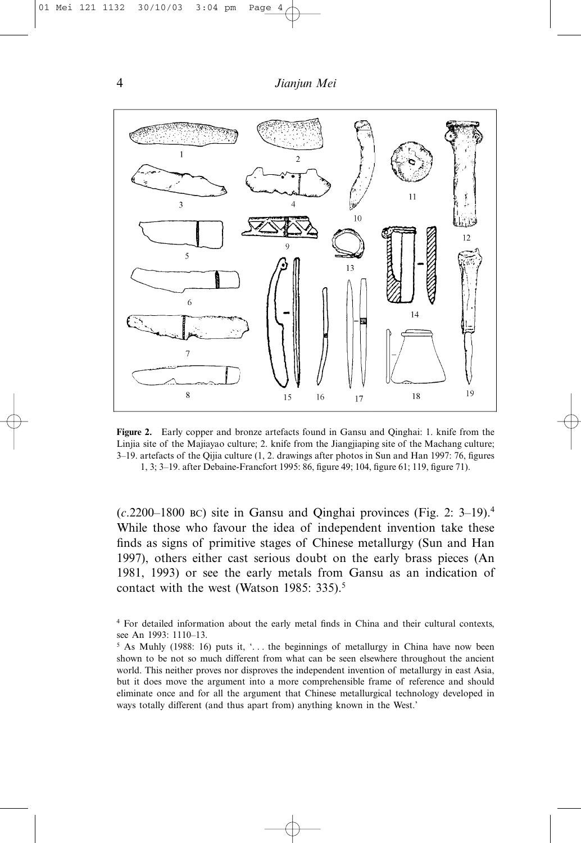

**Figure 2.** Early copper and bronze artefacts found in Gansu and Qinghai: 1. knife from the Linjia site of the Majiayao culture; 2. knife from the Jiangjiaping site of the Machang culture; 3–19. artefacts of the Qijia culture (1, 2. drawings after photos in Sun and Han 1997: 76, figures 1, 3; 3–19. after Debaine-Francfort 1995: 86, figure 49; 104, figure 61; 119, figure 71).

(*c*.2200–1800 BC) site in Gansu and Qinghai provinces (Fig. 2: 3–19).4 While those who favour the idea of independent invention take these finds as signs of primitive stages of Chinese metallurgy (Sun and Han 1997), others either cast serious doubt on the early brass pieces (An 1981, 1993) or see the early metals from Gansu as an indication of contact with the west (Watson 1985: 335).<sup>5</sup>

<sup>4</sup> For detailed information about the early metal finds in China and their cultural contexts, see An 1993: 1110–13.

<sup>&</sup>lt;sup>5</sup> As Muhly (1988: 16) puts it,  $\cdot$ ... the beginnings of metallurgy in China have now been shown to be not so much different from what can be seen elsewhere throughout the ancient world. This neither proves nor disproves the independent invention of metallurgy in east Asia, but it does move the argument into a more comprehensible frame of reference and should eliminate once and for all the argument that Chinese metallurgical technology developed in ways totally different (and thus apart from) anything known in the West.'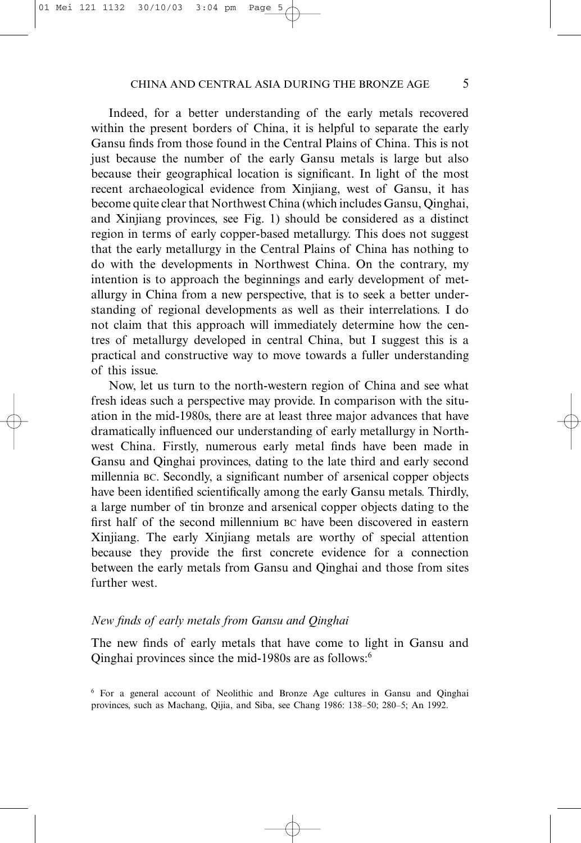Indeed, for a better understanding of the early metals recovered within the present borders of China, it is helpful to separate the early Gansu finds from those found in the Central Plains of China. This is not just because the number of the early Gansu metals is large but also because their geographical location is significant. In light of the most recent archaeological evidence from Xinjiang, west of Gansu, it has become quite clear that Northwest China (which includes Gansu, Qinghai, and Xinjiang provinces, see Fig. 1) should be considered as a distinct region in terms of early copper-based metallurgy. This does not suggest that the early metallurgy in the Central Plains of China has nothing to do with the developments in Northwest China. On the contrary, my intention is to approach the beginnings and early development of metallurgy in China from a new perspective, that is to seek a better understanding of regional developments as well as their interrelations. I do not claim that this approach will immediately determine how the centres of metallurgy developed in central China, but I suggest this is a practical and constructive way to move towards a fuller understanding of this issue.

Now, let us turn to the north-western region of China and see what fresh ideas such a perspective may provide. In comparison with the situation in the mid-1980s, there are at least three major advances that have dramatically influenced our understanding of early metallurgy in Northwest China. Firstly, numerous early metal finds have been made in Gansu and Qinghai provinces, dating to the late third and early second millennia BC. Secondly, a significant number of arsenical copper objects have been identified scientifically among the early Gansu metals. Thirdly, a large number of tin bronze and arsenical copper objects dating to the first half of the second millennium BC have been discovered in eastern Xinjiang. The early Xinjiang metals are worthy of special attention because they provide the first concrete evidence for a connection between the early metals from Gansu and Qinghai and those from sites further west.

## *New finds of early metals from Gansu and Qinghai*

The new finds of early metals that have come to light in Gansu and Qinghai provinces since the mid-1980s are as follows:6

<sup>6</sup> For a general account of Neolithic and Bronze Age cultures in Gansu and Qinghai provinces, such as Machang, Qijia, and Siba, see Chang 1986: 138–50; 280–5; An 1992.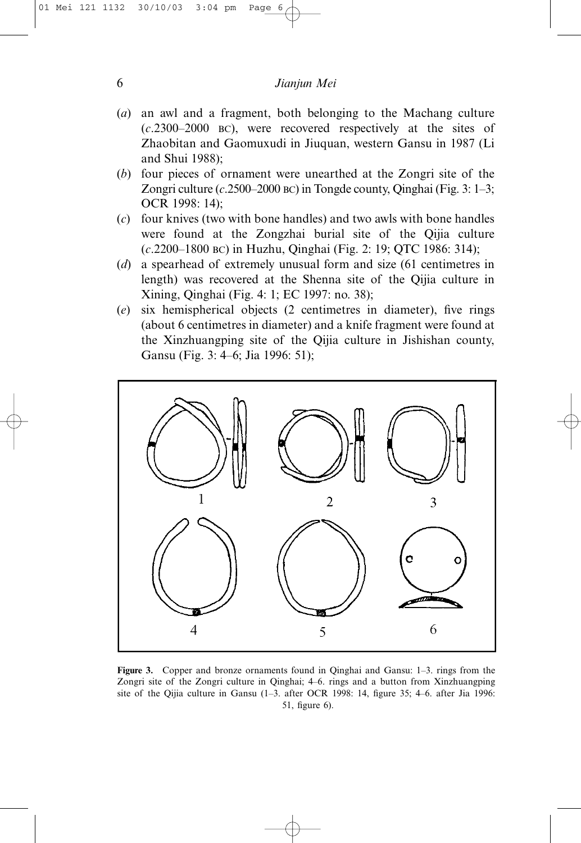## 6 *Jianjun Mei*

- (*a*) an awl and a fragment, both belonging to the Machang culture (*c*.2300–2000 BC), were recovered respectively at the sites of Zhaobitan and Gaomuxudi in Jiuquan, western Gansu in 1987 (Li and Shui 1988);
- (*b*) four pieces of ornament were unearthed at the Zongri site of the Zongri culture (*c*.2500–2000 BC) in Tongde county, Qinghai (Fig. 3: 1–3; OCR 1998: 14);
- (*c*) four knives (two with bone handles) and two awls with bone handles were found at the Zongzhai burial site of the Qijia culture (*c*.2200–1800 BC) in Huzhu, Qinghai (Fig. 2: 19; QTC 1986: 314);
- (*d*) a spearhead of extremely unusual form and size (61 centimetres in length) was recovered at the Shenna site of the Qijia culture in Xining, Qinghai (Fig. 4: 1; EC 1997: no. 38);
- (*e*) six hemispherical objects (2 centimetres in diameter), five rings (about 6 centimetres in diameter) and a knife fragment were found at the Xinzhuangping site of the Qijia culture in Jishishan county, Gansu (Fig. 3: 4–6; Jia 1996: 51);



**Figure 3.** Copper and bronze ornaments found in Qinghai and Gansu: 1–3. rings from the Zongri site of the Zongri culture in Qinghai; 4–6. rings and a button from Xinzhuangping site of the Qijia culture in Gansu (1–3. after OCR 1998: 14, figure 35; 4–6. after Jia 1996: 51, figure 6).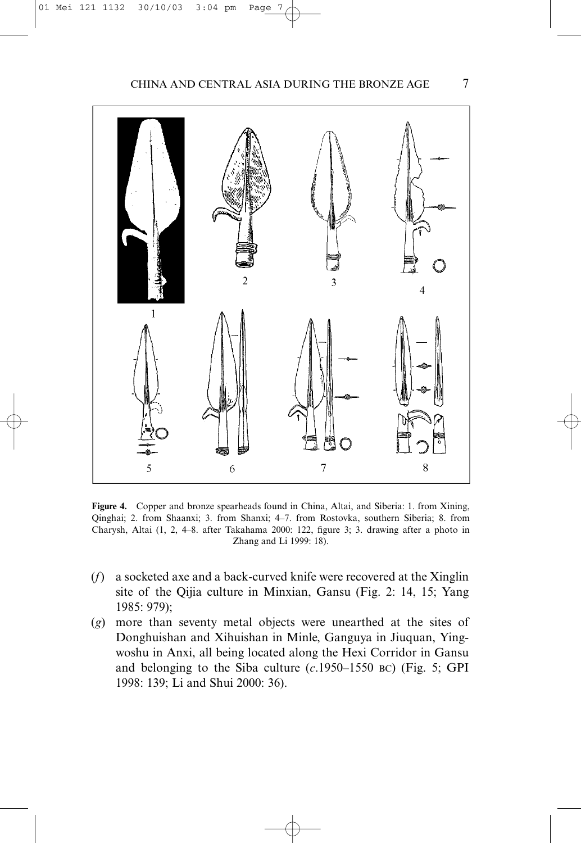

**Figure 4.** Copper and bronze spearheads found in China, Altai, and Siberia: 1. from Xining, Qinghai; 2. from Shaanxi; 3. from Shanxi; 4–7. from Rostovka, southern Siberia; 8. from Charysh, Altai (1, 2, 4–8. after Takahama 2000: 122, figure 3; 3. drawing after a photo in Zhang and Li 1999: 18).

- (*f*) a socketed axe and a back-curved knife were recovered at the Xinglin site of the Qijia culture in Minxian, Gansu (Fig. 2: 14, 15; Yang 1985: 979);
- (*g*) more than seventy metal objects were unearthed at the sites of Donghuishan and Xihuishan in Minle, Ganguya in Jiuquan, Yingwoshu in Anxi, all being located along the Hexi Corridor in Gansu and belonging to the Siba culture (*c*.1950–1550 BC) (Fig. 5; GPI 1998: 139; Li and Shui 2000: 36).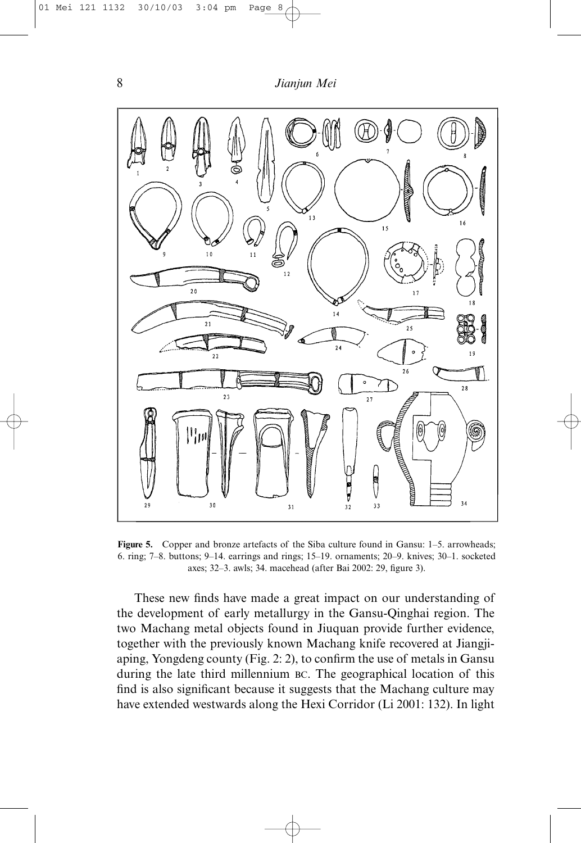

**Figure 5.** Copper and bronze artefacts of the Siba culture found in Gansu: 1–5. arrowheads; 6. ring; 7–8. buttons; 9–14. earrings and rings; 15–19. ornaments; 20–9. knives; 30–1. socketed axes; 32–3. awls; 34. macehead (after Bai 2002: 29, figure 3).

These new finds have made a great impact on our understanding of the development of early metallurgy in the Gansu-Qinghai region. The two Machang metal objects found in Jiuquan provide further evidence, together with the previously known Machang knife recovered at Jiangjiaping, Yongdeng county (Fig. 2: 2), to confirm the use of metals in Gansu during the late third millennium BC. The geographical location of this find is also significant because it suggests that the Machang culture may have extended westwards along the Hexi Corridor (Li 2001: 132). In light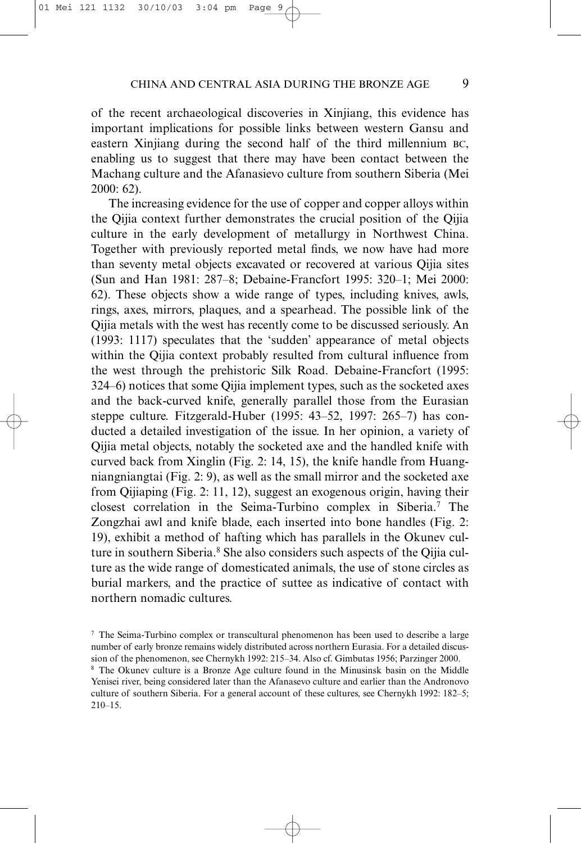of the recent archaeological discoveries in Xinjiang, this evidence has important implications for possible links between western Gansu and eastern Xinjiang during the second half of the third millennium BC, enabling us to suggest that there may have been contact between the Machang culture and the Afanasievo culture from southern Siberia (Mei 2000: 62).

The increasing evidence for the use of copper and copper alloys within the Qijia context further demonstrates the crucial position of the Qijia culture in the early development of metallurgy in Northwest China. Together with previously reported metal finds, we now have had more than seventy metal objects excavated or recovered at various Qijia sites (Sun and Han 1981: 287–8; Debaine-Francfort 1995: 320–1; Mei 2000: 62). These objects show a wide range of types, including knives, awls, rings, axes, mirrors, plaques, and a spearhead. The possible link of the Qijia metals with the west has recently come to be discussed seriously. An (1993: 1117) speculates that the 'sudden' appearance of metal objects within the Qijia context probably resulted from cultural influence from the west through the prehistoric Silk Road. Debaine-Francfort (1995: 324–6) notices that some Qijia implement types, such as the socketed axes and the back-curved knife, generally parallel those from the Eurasian steppe culture. Fitzgerald-Huber (1995: 43–52, 1997: 265–7) has conducted a detailed investigation of the issue. In her opinion, a variety of Qijia metal objects, notably the socketed axe and the handled knife with curved back from Xinglin (Fig. 2: 14, 15), the knife handle from Huangniangniangtai (Fig. 2: 9), as well as the small mirror and the socketed axe from Qijiaping (Fig. 2: 11, 12), suggest an exogenous origin, having their closest correlation in the Seima-Turbino complex in Siberia.7 The Zongzhai awl and knife blade, each inserted into bone handles (Fig. 2: 19), exhibit a method of hafting which has parallels in the Okunev culture in southern Siberia.<sup>8</sup> She also considers such aspects of the Qijia culture as the wide range of domesticated animals, the use of stone circles as burial markers, and the practice of suttee as indicative of contact with northern nomadic cultures.

<sup>7</sup> The Seima-Turbino complex or transcultural phenomenon has been used to describe a large number of early bronze remains widely distributed across northern Eurasia. For a detailed discussion of the phenomenon, see Chernykh 1992: 215–34. Also cf. Gimbutas 1956; Parzinger 2000. <sup>8</sup> The Okunev culture is a Bronze Age culture found in the Minusinsk basin on the Middle

Yenisei river, being considered later than the Afanasevo culture and earlier than the Andronovo culture of southern Siberia. For a general account of these cultures, see Chernykh 1992: 182–5; 210–15.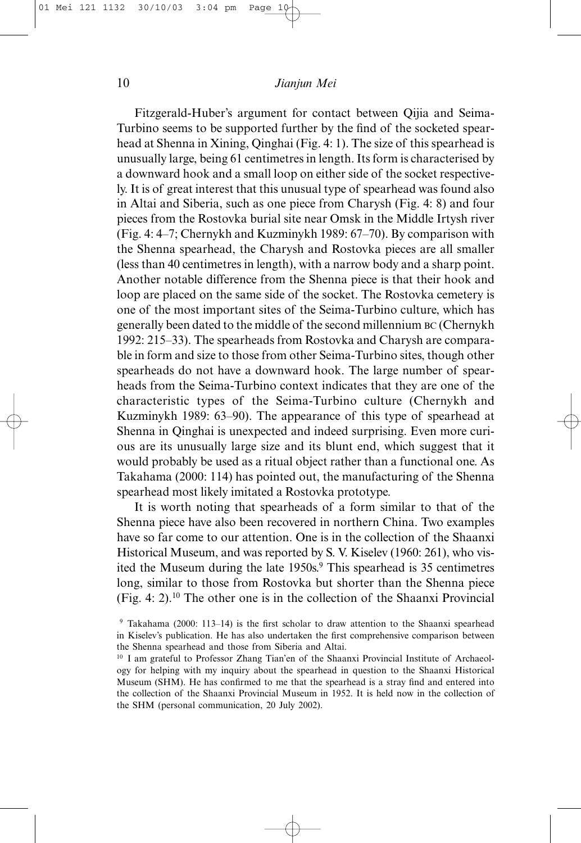Fitzgerald-Huber's argument for contact between Qijia and Seima-Turbino seems to be supported further by the find of the socketed spearhead at Shenna in Xining, Qinghai (Fig. 4: 1). The size of this spearhead is unusually large, being 61 centimetres in length. Its form is characterised by a downward hook and a small loop on either side of the socket respectively. It is of great interest that this unusual type of spearhead was found also in Altai and Siberia, such as one piece from Charysh (Fig. 4: 8) and four pieces from the Rostovka burial site near Omsk in the Middle Irtysh river (Fig. 4: 4–7; Chernykh and Kuzminykh 1989: 67–70). By comparison with the Shenna spearhead, the Charysh and Rostovka pieces are all smaller (less than 40 centimetres in length), with a narrow body and a sharp point. Another notable difference from the Shenna piece is that their hook and loop are placed on the same side of the socket. The Rostovka cemetery is one of the most important sites of the Seima-Turbino culture, which has generally been dated to the middle of the second millennium BC (Chernykh 1992: 215–33). The spearheads from Rostovka and Charysh are comparable in form and size to those from other Seima-Turbino sites, though other spearheads do not have a downward hook. The large number of spearheads from the Seima-Turbino context indicates that they are one of the characteristic types of the Seima-Turbino culture (Chernykh and Kuzminykh 1989: 63–90). The appearance of this type of spearhead at Shenna in Qinghai is unexpected and indeed surprising. Even more curious are its unusually large size and its blunt end, which suggest that it would probably be used as a ritual object rather than a functional one. As Takahama (2000: 114) has pointed out, the manufacturing of the Shenna spearhead most likely imitated a Rostovka prototype.

It is worth noting that spearheads of a form similar to that of the Shenna piece have also been recovered in northern China. Two examples have so far come to our attention. One is in the collection of the Shaanxi Historical Museum, and was reported by S. V. Kiselev (1960: 261), who visited the Museum during the late 1950s.<sup>9</sup> This spearhead is 35 centimetres long, similar to those from Rostovka but shorter than the Shenna piece (Fig. 4: 2).10 The other one is in the collection of the Shaanxi Provincial

<sup>9</sup> Takahama (2000: 113–14) is the first scholar to draw attention to the Shaanxi spearhead in Kiselev's publication. He has also undertaken the first comprehensive comparison between the Shenna spearhead and those from Siberia and Altai.

<sup>&</sup>lt;sup>10</sup> I am grateful to Professor Zhang Tian'en of the Shaanxi Provincial Institute of Archaeology for helping with my inquiry about the spearhead in question to the Shaanxi Historical Museum (SHM). He has confirmed to me that the spearhead is a stray find and entered into the collection of the Shaanxi Provincial Museum in 1952. It is held now in the collection of the SHM (personal communication, 20 July 2002).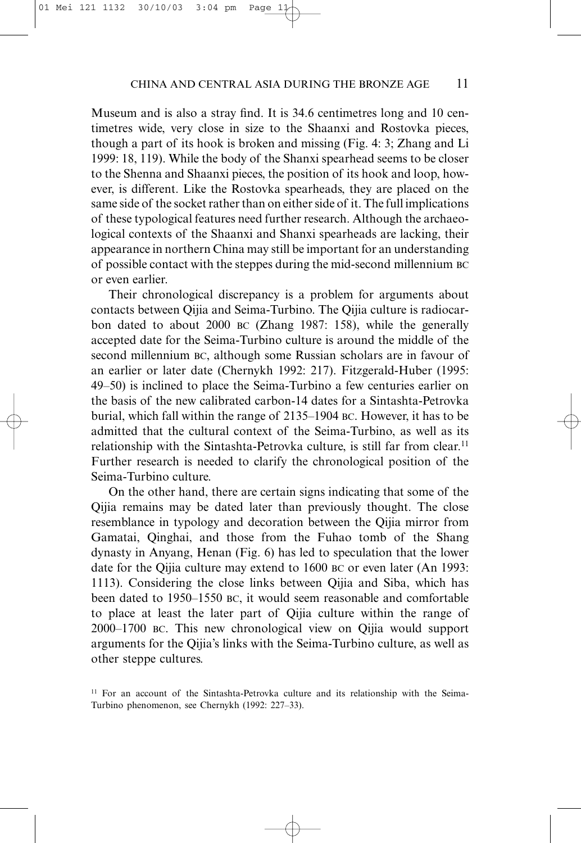Museum and is also a stray find. It is 34.6 centimetres long and 10 centimetres wide, very close in size to the Shaanxi and Rostovka pieces, though a part of its hook is broken and missing (Fig. 4: 3; Zhang and Li 1999: 18, 119). While the body of the Shanxi spearhead seems to be closer to the Shenna and Shaanxi pieces, the position of its hook and loop, however, is different. Like the Rostovka spearheads, they are placed on the same side of the socket rather than on either side of it. The full implications of these typological features need further research. Although the archaeological contexts of the Shaanxi and Shanxi spearheads are lacking, their appearance in northern China may still be important for an understanding of possible contact with the steppes during the mid-second millennium BC or even earlier.

Their chronological discrepancy is a problem for arguments about contacts between Qijia and Seima-Turbino. The Qijia culture is radiocarbon dated to about 2000 BC (Zhang 1987: 158), while the generally accepted date for the Seima-Turbino culture is around the middle of the second millennium BC, although some Russian scholars are in favour of an earlier or later date (Chernykh 1992: 217). Fitzgerald-Huber (1995: 49–50) is inclined to place the Seima-Turbino a few centuries earlier on the basis of the new calibrated carbon-14 dates for a Sintashta-Petrovka burial, which fall within the range of 2135–1904 BC. However, it has to be admitted that the cultural context of the Seima-Turbino, as well as its relationship with the Sintashta-Petrovka culture, is still far from clear.<sup>11</sup> Further research is needed to clarify the chronological position of the Seima-Turbino culture.

On the other hand, there are certain signs indicating that some of the Qijia remains may be dated later than previously thought. The close resemblance in typology and decoration between the Qijia mirror from Gamatai, Qinghai, and those from the Fuhao tomb of the Shang dynasty in Anyang, Henan (Fig. 6) has led to speculation that the lower date for the Qijia culture may extend to 1600 BC or even later (An 1993: 1113). Considering the close links between Qijia and Siba, which has been dated to 1950–1550 BC, it would seem reasonable and comfortable to place at least the later part of Qijia culture within the range of 2000–1700 BC. This new chronological view on Qijia would support arguments for the Qijia's links with the Seima-Turbino culture, as well as other steppe cultures.

<sup>&</sup>lt;sup>11</sup> For an account of the Sintashta-Petrovka culture and its relationship with the Seima-Turbino phenomenon, see Chernykh (1992: 227–33).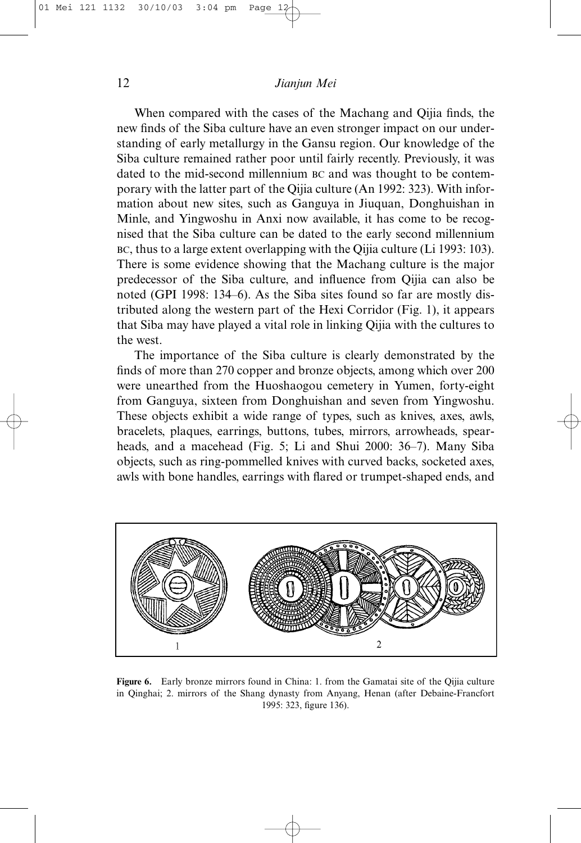When compared with the cases of the Machang and Qijia finds, the new finds of the Siba culture have an even stronger impact on our understanding of early metallurgy in the Gansu region. Our knowledge of the Siba culture remained rather poor until fairly recently. Previously, it was dated to the mid-second millennium BC and was thought to be contemporary with the latter part of the Qijia culture (An 1992: 323). With information about new sites, such as Ganguya in Jiuquan, Donghuishan in Minle, and Yingwoshu in Anxi now available, it has come to be recognised that the Siba culture can be dated to the early second millennium BC, thus to a large extent overlapping with the Qijia culture (Li 1993: 103). There is some evidence showing that the Machang culture is the major predecessor of the Siba culture, and influence from Qijia can also be noted (GPI 1998: 134–6). As the Siba sites found so far are mostly distributed along the western part of the Hexi Corridor (Fig. 1), it appears that Siba may have played a vital role in linking Qijia with the cultures to the west.

The importance of the Siba culture is clearly demonstrated by the finds of more than 270 copper and bronze objects, among which over 200 were unearthed from the Huoshaogou cemetery in Yumen, forty-eight from Ganguya, sixteen from Donghuishan and seven from Yingwoshu. These objects exhibit a wide range of types, such as knives, axes, awls, bracelets, plaques, earrings, buttons, tubes, mirrors, arrowheads, spearheads, and a macehead (Fig. 5; Li and Shui 2000: 36–7). Many Siba objects, such as ring-pommelled knives with curved backs, socketed axes, awls with bone handles, earrings with flared or trumpet-shaped ends, and



**Figure 6.** Early bronze mirrors found in China: 1. from the Gamatai site of the Qijia culture in Qinghai; 2. mirrors of the Shang dynasty from Anyang, Henan (after Debaine-Francfort 1995: 323, figure 136).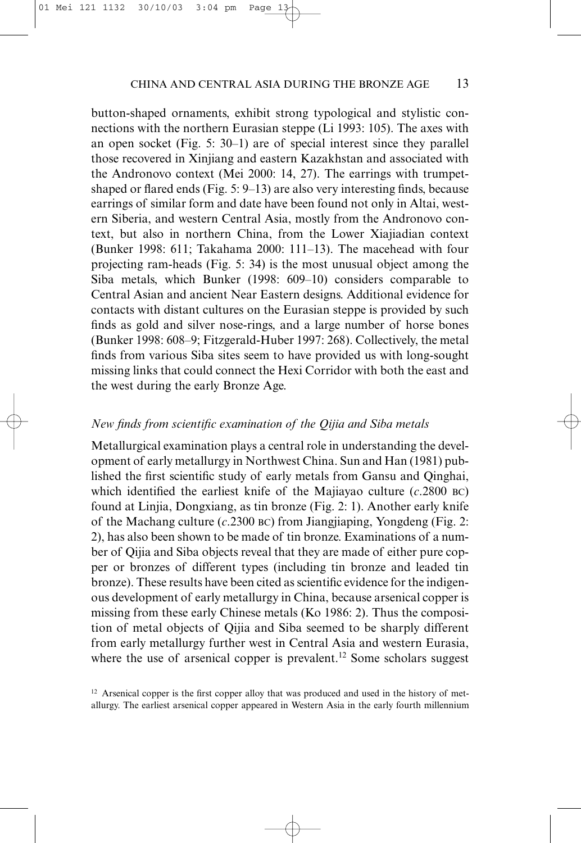button-shaped ornaments, exhibit strong typological and stylistic connections with the northern Eurasian steppe (Li 1993: 105). The axes with an open socket (Fig. 5: 30–1) are of special interest since they parallel those recovered in Xinjiang and eastern Kazakhstan and associated with the Andronovo context (Mei 2000: 14, 27). The earrings with trumpetshaped or flared ends (Fig. 5: 9–13) are also very interesting finds, because earrings of similar form and date have been found not only in Altai, western Siberia, and western Central Asia, mostly from the Andronovo context, but also in northern China, from the Lower Xiajiadian context (Bunker 1998: 611; Takahama 2000: 111–13). The macehead with four projecting ram-heads (Fig. 5: 34) is the most unusual object among the Siba metals, which Bunker (1998: 609–10) considers comparable to Central Asian and ancient Near Eastern designs. Additional evidence for contacts with distant cultures on the Eurasian steppe is provided by such finds as gold and silver nose-rings, and a large number of horse bones (Bunker 1998: 608–9; Fitzgerald-Huber 1997: 268). Collectively, the metal finds from various Siba sites seem to have provided us with long-sought missing links that could connect the Hexi Corridor with both the east and the west during the early Bronze Age.

#### *New finds from scientific examination of the Qijia and Siba metals*

Metallurgical examination plays a central role in understanding the development of early metallurgy in Northwest China. Sun and Han (1981) published the first scientific study of early metals from Gansu and Qinghai, which identified the earliest knife of the Majiayao culture (*c*.2800 BC) found at Linjia, Dongxiang, as tin bronze (Fig. 2: 1). Another early knife of the Machang culture (*c*.2300 BC) from Jiangjiaping, Yongdeng (Fig. 2: 2), has also been shown to be made of tin bronze. Examinations of a number of Qijia and Siba objects reveal that they are made of either pure copper or bronzes of different types (including tin bronze and leaded tin bronze). These results have been cited as scientific evidence for the indigenous development of early metallurgy in China, because arsenical copper is missing from these early Chinese metals (Ko 1986: 2). Thus the composition of metal objects of Qijia and Siba seemed to be sharply different from early metallurgy further west in Central Asia and western Eurasia, where the use of arsenical copper is prevalent.<sup>12</sup> Some scholars suggest

 $12$  Arsenical copper is the first copper alloy that was produced and used in the history of metallurgy. The earliest arsenical copper appeared in Western Asia in the early fourth millennium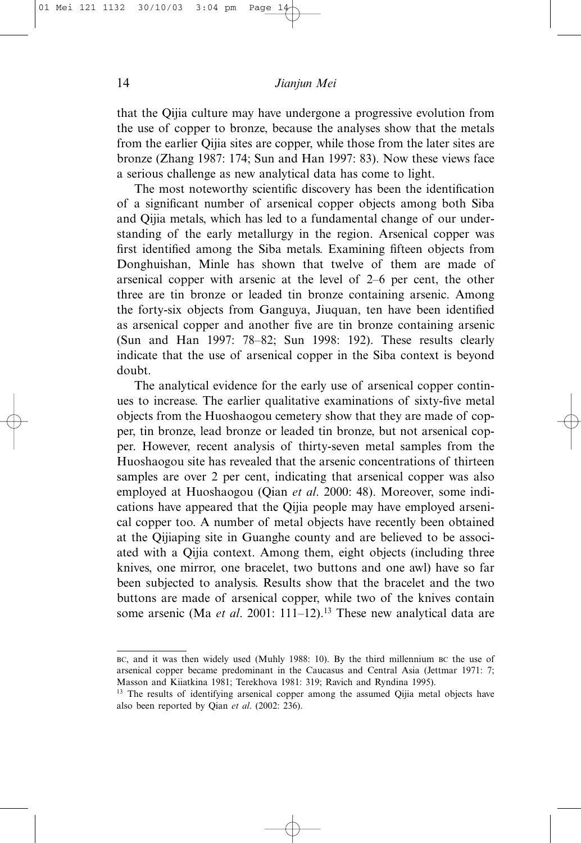that the Qijia culture may have undergone a progressive evolution from the use of copper to bronze, because the analyses show that the metals from the earlier Qijia sites are copper, while those from the later sites are bronze (Zhang 1987: 174; Sun and Han 1997: 83). Now these views face a serious challenge as new analytical data has come to light.

The most noteworthy scientific discovery has been the identification of a significant number of arsenical copper objects among both Siba and Qijia metals, which has led to a fundamental change of our understanding of the early metallurgy in the region. Arsenical copper was first identified among the Siba metals. Examining fifteen objects from Donghuishan, Minle has shown that twelve of them are made of arsenical copper with arsenic at the level of 2–6 per cent, the other three are tin bronze or leaded tin bronze containing arsenic. Among the forty-six objects from Ganguya, Jiuquan, ten have been identified as arsenical copper and another five are tin bronze containing arsenic (Sun and Han 1997: 78–82; Sun 1998: 192). These results clearly indicate that the use of arsenical copper in the Siba context is beyond doubt.

The analytical evidence for the early use of arsenical copper continues to increase. The earlier qualitative examinations of sixty-five metal objects from the Huoshaogou cemetery show that they are made of copper, tin bronze, lead bronze or leaded tin bronze, but not arsenical copper. However, recent analysis of thirty-seven metal samples from the Huoshaogou site has revealed that the arsenic concentrations of thirteen samples are over 2 per cent, indicating that arsenical copper was also employed at Huoshaogou (Qian *et al*. 2000: 48). Moreover, some indications have appeared that the Qijia people may have employed arsenical copper too. A number of metal objects have recently been obtained at the Qijiaping site in Guanghe county and are believed to be associated with a Qijia context. Among them, eight objects (including three knives, one mirror, one bracelet, two buttons and one awl) have so far been subjected to analysis. Results show that the bracelet and the two buttons are made of arsenical copper, while two of the knives contain some arsenic (Ma et al. 2001: 111-12).<sup>13</sup> These new analytical data are

BC, and it was then widely used (Muhly 1988: 10). By the third millennium BC the use of arsenical copper became predominant in the Caucasus and Central Asia (Jettmar 1971: 7; Masson and Kiiatkina 1981; Terekhova 1981: 319; Ravich and Ryndina 1995).

<sup>&</sup>lt;sup>13</sup> The results of identifying arsenical copper among the assumed Qijia metal objects have also been reported by Qian *et al*. (2002: 236).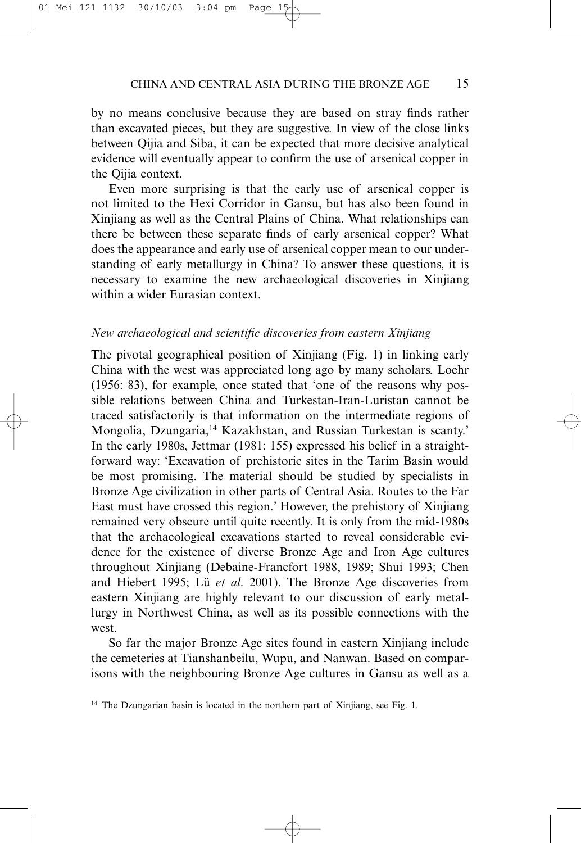by no means conclusive because they are based on stray finds rather than excavated pieces, but they are suggestive. In view of the close links between Qijia and Siba, it can be expected that more decisive analytical evidence will eventually appear to confirm the use of arsenical copper in the Qijia context.

Even more surprising is that the early use of arsenical copper is not limited to the Hexi Corridor in Gansu, but has also been found in Xinjiang as well as the Central Plains of China. What relationships can there be between these separate finds of early arsenical copper? What does the appearance and early use of arsenical copper mean to our understanding of early metallurgy in China? To answer these questions, it is necessary to examine the new archaeological discoveries in Xinjiang within a wider Eurasian context.

#### *New archaeological and scientific discoveries from eastern Xinjiang*

The pivotal geographical position of Xinjiang (Fig. 1) in linking early China with the west was appreciated long ago by many scholars. Loehr (1956: 83), for example, once stated that 'one of the reasons why possible relations between China and Turkestan-Iran-Luristan cannot be traced satisfactorily is that information on the intermediate regions of Mongolia, Dzungaria,14 Kazakhstan, and Russian Turkestan is scanty.' In the early 1980s, Jettmar (1981: 155) expressed his belief in a straightforward way: 'Excavation of prehistoric sites in the Tarim Basin would be most promising. The material should be studied by specialists in Bronze Age civilization in other parts of Central Asia. Routes to the Far East must have crossed this region.' However, the prehistory of Xinjiang remained very obscure until quite recently. It is only from the mid-1980s that the archaeological excavations started to reveal considerable evidence for the existence of diverse Bronze Age and Iron Age cultures throughout Xinjiang (Debaine-Francfort 1988, 1989; Shui 1993; Chen and Hiebert 1995; Lü *et al*. 2001). The Bronze Age discoveries from eastern Xinjiang are highly relevant to our discussion of early metallurgy in Northwest China, as well as its possible connections with the west.

So far the major Bronze Age sites found in eastern Xinjiang include the cemeteries at Tianshanbeilu, Wupu, and Nanwan. Based on comparisons with the neighbouring Bronze Age cultures in Gansu as well as a

<sup>&</sup>lt;sup>14</sup> The Dzungarian basin is located in the northern part of Xinjiang, see Fig. 1.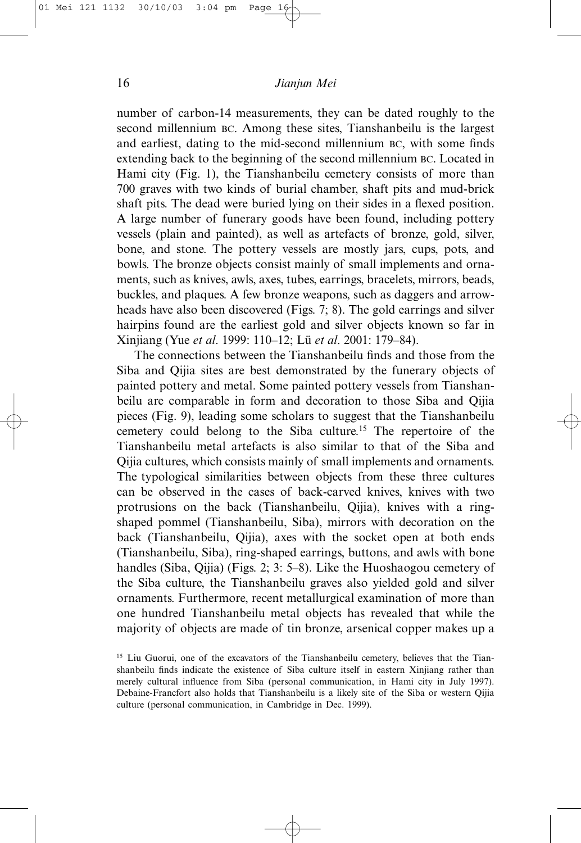number of carbon-14 measurements, they can be dated roughly to the second millennium BC. Among these sites, Tianshanbeilu is the largest and earliest, dating to the mid-second millennium BC, with some finds extending back to the beginning of the second millennium BC. Located in Hami city (Fig. 1), the Tianshanbeilu cemetery consists of more than 700 graves with two kinds of burial chamber, shaft pits and mud-brick shaft pits. The dead were buried lying on their sides in a flexed position. A large number of funerary goods have been found, including pottery vessels (plain and painted), as well as artefacts of bronze, gold, silver, bone, and stone. The pottery vessels are mostly jars, cups, pots, and bowls. The bronze objects consist mainly of small implements and ornaments, such as knives, awls, axes, tubes, earrings, bracelets, mirrors, beads, buckles, and plaques. A few bronze weapons, such as daggers and arrowheads have also been discovered (Figs. 7; 8). The gold earrings and silver hairpins found are the earliest gold and silver objects known so far in Xinjiang (Yue *et al*. 1999: 110–12; Lü *et al*. 2001: 179–84).

The connections between the Tianshanbeilu finds and those from the Siba and Qijia sites are best demonstrated by the funerary objects of painted pottery and metal. Some painted pottery vessels from Tianshanbeilu are comparable in form and decoration to those Siba and Qijia pieces (Fig. 9), leading some scholars to suggest that the Tianshanbeilu cemetery could belong to the Siba culture.15 The repertoire of the Tianshanbeilu metal artefacts is also similar to that of the Siba and Qijia cultures, which consists mainly of small implements and ornaments. The typological similarities between objects from these three cultures can be observed in the cases of back-carved knives, knives with two protrusions on the back (Tianshanbeilu, Qijia), knives with a ringshaped pommel (Tianshanbeilu, Siba), mirrors with decoration on the back (Tianshanbeilu, Qijia), axes with the socket open at both ends (Tianshanbeilu, Siba), ring-shaped earrings, buttons, and awls with bone handles (Siba, Qijia) (Figs. 2; 3: 5–8). Like the Huoshaogou cemetery of the Siba culture, the Tianshanbeilu graves also yielded gold and silver ornaments. Furthermore, recent metallurgical examination of more than one hundred Tianshanbeilu metal objects has revealed that while the majority of objects are made of tin bronze, arsenical copper makes up a

<sup>&</sup>lt;sup>15</sup> Liu Guorui, one of the excavators of the Tianshanbeilu cemetery, believes that the Tianshanbeilu finds indicate the existence of Siba culture itself in eastern Xinjiang rather than merely cultural influence from Siba (personal communication, in Hami city in July 1997). Debaine-Francfort also holds that Tianshanbeilu is a likely site of the Siba or western Qijia culture (personal communication, in Cambridge in Dec. 1999).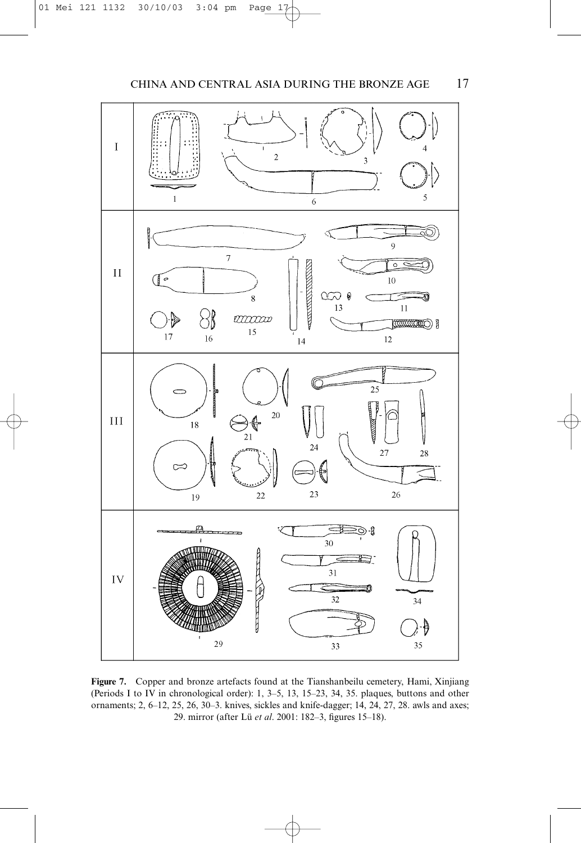

**Figure 7.** Copper and bronze artefacts found at the Tianshanbeilu cemetery, Hami, Xinjiang (Periods I to IV in chronological order): 1, 3–5, 13, 15–23, 34, 35. plaques, buttons and other ornaments; 2, 6–12, 25, 26, 30–3. knives, sickles and knife-dagger; 14, 24, 27, 28. awls and axes; 29. mirror (after Lü *et al*. 2001: 182–3, figures 15–18).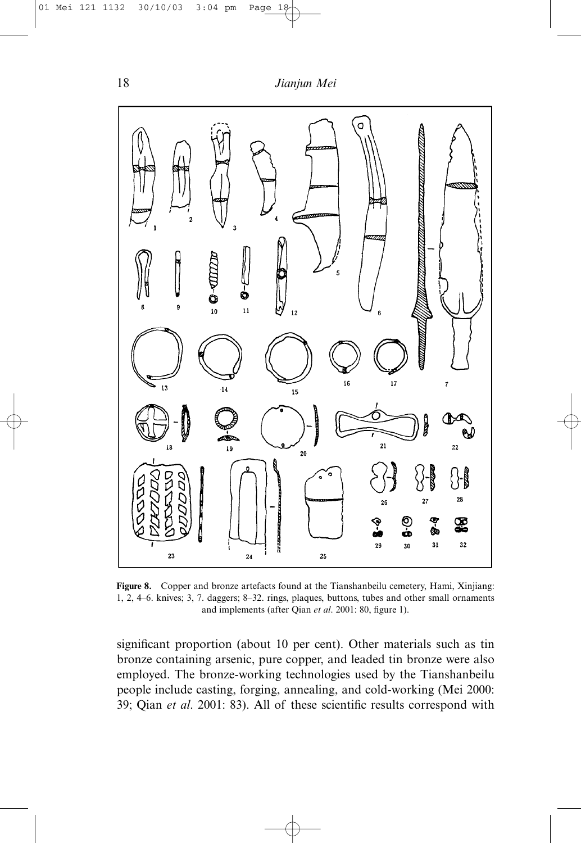

**Figure 8.** Copper and bronze artefacts found at the Tianshanbeilu cemetery, Hami, Xinjiang: 1, 2, 4–6. knives; 3, 7. daggers; 8–32. rings, plaques, buttons, tubes and other small ornaments and implements (after Qian *et al*. 2001: 80, figure 1).

significant proportion (about 10 per cent). Other materials such as tin bronze containing arsenic, pure copper, and leaded tin bronze were also employed. The bronze-working technologies used by the Tianshanbeilu people include casting, forging, annealing, and cold-working (Mei 2000: 39; Qian *et al*. 2001: 83). All of these scientific results correspond with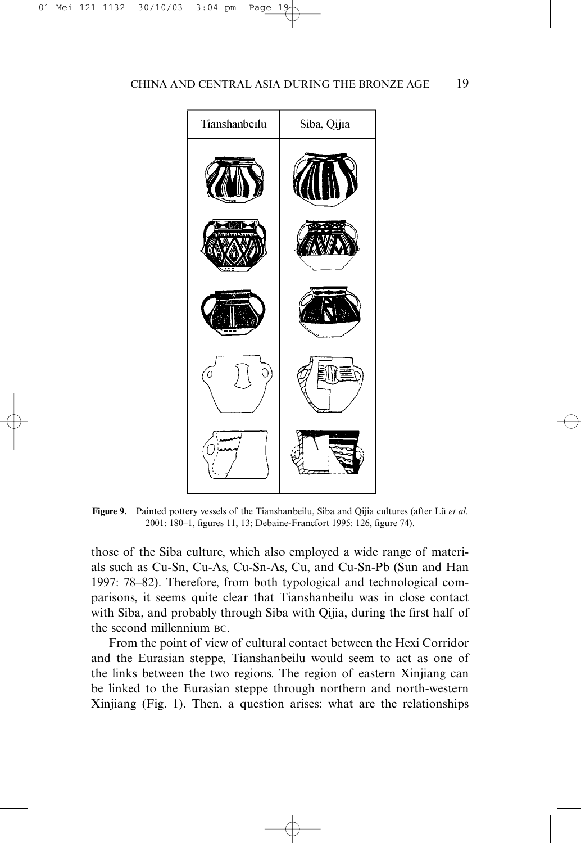

**Figure 9.** Painted pottery vessels of the Tianshanbeilu, Siba and Qijia cultures (after Lü *et al*. 2001: 180–1, figures 11, 13; Debaine-Francfort 1995: 126, figure 74).

those of the Siba culture, which also employed a wide range of materials such as Cu-Sn, Cu-As, Cu-Sn-As, Cu, and Cu-Sn-Pb (Sun and Han 1997: 78–82). Therefore, from both typological and technological comparisons, it seems quite clear that Tianshanbeilu was in close contact with Siba, and probably through Siba with Qijia, during the first half of the second millennium BC.

From the point of view of cultural contact between the Hexi Corridor and the Eurasian steppe, Tianshanbeilu would seem to act as one of the links between the two regions. The region of eastern Xinjiang can be linked to the Eurasian steppe through northern and north-western Xinjiang (Fig. 1). Then, a question arises: what are the relationships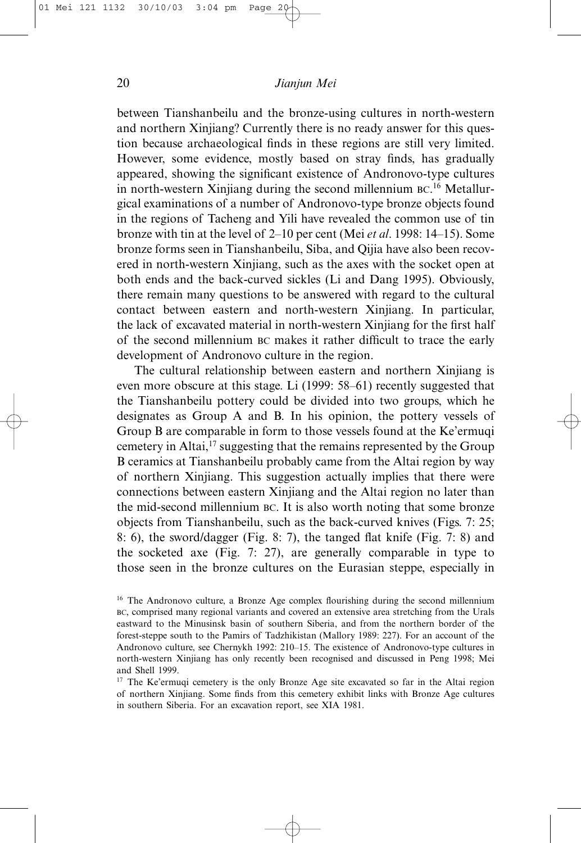between Tianshanbeilu and the bronze-using cultures in north-western and northern Xinjiang? Currently there is no ready answer for this question because archaeological finds in these regions are still very limited. However, some evidence, mostly based on stray finds, has gradually appeared, showing the significant existence of Andronovo-type cultures in north-western Xinjiang during the second millennium BC. <sup>16</sup> Metallurgical examinations of a number of Andronovo-type bronze objects found in the regions of Tacheng and Yili have revealed the common use of tin bronze with tin at the level of 2–10 per cent (Mei *et al*. 1998: 14–15). Some bronze forms seen in Tianshanbeilu, Siba, and Qijia have also been recovered in north-western Xinjiang, such as the axes with the socket open at both ends and the back-curved sickles (Li and Dang 1995). Obviously, there remain many questions to be answered with regard to the cultural contact between eastern and north-western Xinjiang. In particular, the lack of excavated material in north-western Xinjiang for the first half of the second millennium BC makes it rather difficult to trace the early development of Andronovo culture in the region.

The cultural relationship between eastern and northern Xinjiang is even more obscure at this stage. Li (1999: 58–61) recently suggested that the Tianshanbeilu pottery could be divided into two groups, which he designates as Group A and B. In his opinion, the pottery vessels of Group B are comparable in form to those vessels found at the Ke'ermuqi cemetery in Altai,17 suggesting that the remains represented by the Group B ceramics at Tianshanbeilu probably came from the Altai region by way of northern Xinjiang. This suggestion actually implies that there were connections between eastern Xinjiang and the Altai region no later than the mid-second millennium BC. It is also worth noting that some bronze objects from Tianshanbeilu, such as the back-curved knives (Figs. 7: 25; 8: 6), the sword/dagger (Fig. 8: 7), the tanged flat knife (Fig. 7: 8) and the socketed axe (Fig. 7: 27), are generally comparable in type to those seen in the bronze cultures on the Eurasian steppe, especially in

<sup>&</sup>lt;sup>16</sup> The Andronovo culture, a Bronze Age complex flourishing during the second millennium BC, comprised many regional variants and covered an extensive area stretching from the Urals eastward to the Minusinsk basin of southern Siberia, and from the northern border of the forest-steppe south to the Pamirs of Tadzhikistan (Mallory 1989: 227). For an account of the Andronovo culture, see Chernykh 1992: 210–15. The existence of Andronovo-type cultures in north-western Xinjiang has only recently been recognised and discussed in Peng 1998; Mei and Shell 1999.

<sup>&</sup>lt;sup>17</sup> The Ke'ermuqi cemetery is the only Bronze Age site excavated so far in the Altai region of northern Xinjiang. Some finds from this cemetery exhibit links with Bronze Age cultures in southern Siberia. For an excavation report, see XIA 1981.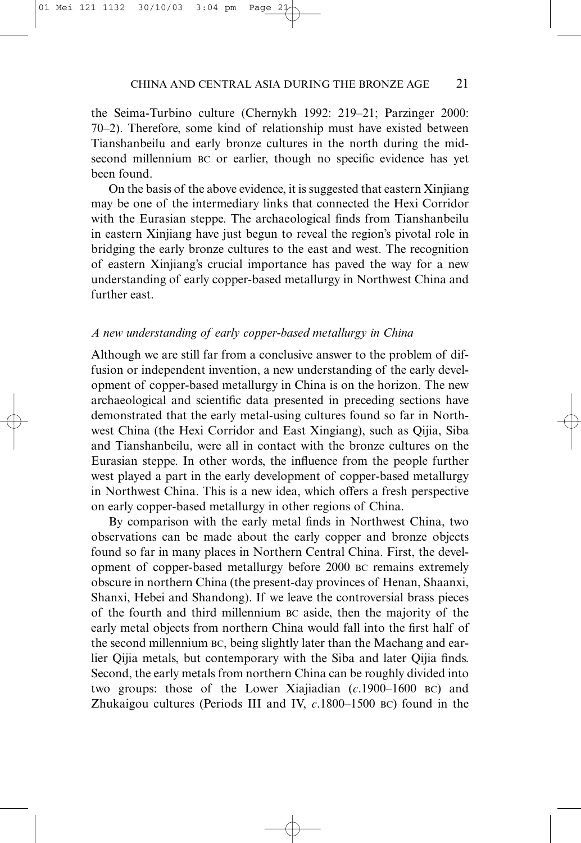the Seima-Turbino culture (Chernykh 1992: 219–21; Parzinger 2000: 70–2). Therefore, some kind of relationship must have existed between Tianshanbeilu and early bronze cultures in the north during the midsecond millennium BC or earlier, though no specific evidence has yet been found.

On the basis of the above evidence, it is suggested that eastern Xinjiang may be one of the intermediary links that connected the Hexi Corridor with the Eurasian steppe. The archaeological finds from Tianshanbeilu in eastern Xinjiang have just begun to reveal the region's pivotal role in bridging the early bronze cultures to the east and west. The recognition of eastern Xinjiang's crucial importance has paved the way for a new understanding of early copper-based metallurgy in Northwest China and further east.

#### *A new understanding of early copper-based metallurgy in China*

Although we are still far from a conclusive answer to the problem of diffusion or independent invention, a new understanding of the early development of copper-based metallurgy in China is on the horizon. The new archaeological and scientific data presented in preceding sections have demonstrated that the early metal-using cultures found so far in Northwest China (the Hexi Corridor and East Xingiang), such as Qijia, Siba and Tianshanbeilu, were all in contact with the bronze cultures on the Eurasian steppe. In other words, the influence from the people further west played a part in the early development of copper-based metallurgy in Northwest China. This is a new idea, which offers a fresh perspective on early copper-based metallurgy in other regions of China.

By comparison with the early metal finds in Northwest China, two observations can be made about the early copper and bronze objects found so far in many places in Northern Central China. First, the development of copper-based metallurgy before 2000 BC remains extremely obscure in northern China (the present-day provinces of Henan, Shaanxi, Shanxi, Hebei and Shandong). If we leave the controversial brass pieces of the fourth and third millennium BC aside, then the majority of the early metal objects from northern China would fall into the first half of the second millennium BC, being slightly later than the Machang and earlier Qijia metals, but contemporary with the Siba and later Qijia finds. Second, the early metals from northern China can be roughly divided into two groups: those of the Lower Xiajiadian (*c*.1900–1600 BC) and Zhukaigou cultures (Periods III and IV, *c*.1800–1500 BC) found in the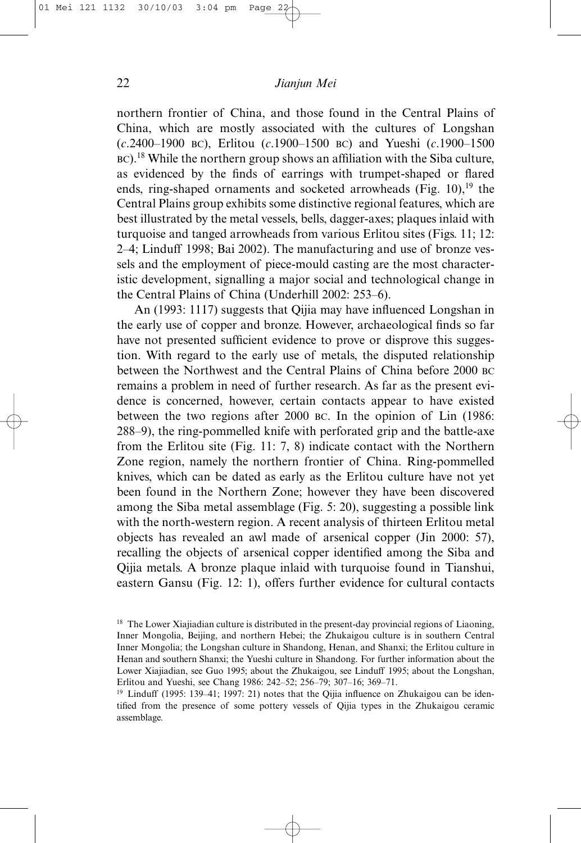northern frontier of China, and those found in the Central Plains of China, which are mostly associated with the cultures of Longshan (*c*.2400–1900 BC), Erlitou (*c*.1900–1500 BC) and Yueshi (*c*.1900–1500 BC).<sup>18</sup> While the northern group shows an affiliation with the Siba culture, as evidenced by the finds of earrings with trumpet-shaped or flared ends, ring-shaped ornaments and socketed arrowheads (Fig. 10), $19$  the Central Plains group exhibits some distinctive regional features, which are best illustrated by the metal vessels, bells, dagger-axes; plaques inlaid with turquoise and tanged arrowheads from various Erlitou sites (Figs. 11; 12: 2–4; Linduff 1998; Bai 2002). The manufacturing and use of bronze vessels and the employment of piece-mould casting are the most characteristic development, signalling a major social and technological change in the Central Plains of China (Underhill 2002: 253–6).

An (1993: 1117) suggests that Qijia may have influenced Longshan in the early use of copper and bronze. However, archaeological finds so far have not presented sufficient evidence to prove or disprove this suggestion. With regard to the early use of metals, the disputed relationship between the Northwest and the Central Plains of China before 2000 BC remains a problem in need of further research. As far as the present evidence is concerned, however, certain contacts appear to have existed between the two regions after 2000 BC. In the opinion of Lin (1986: 288–9), the ring-pommelled knife with perforated grip and the battle-axe from the Erlitou site (Fig. 11: 7, 8) indicate contact with the Northern Zone region, namely the northern frontier of China. Ring-pommelled knives, which can be dated as early as the Erlitou culture have not yet been found in the Northern Zone; however they have been discovered among the Siba metal assemblage (Fig. 5: 20), suggesting a possible link with the north-western region. A recent analysis of thirteen Erlitou metal objects has revealed an awl made of arsenical copper (Jin 2000: 57), recalling the objects of arsenical copper identified among the Siba and Qijia metals. A bronze plaque inlaid with turquoise found in Tianshui, eastern Gansu (Fig. 12: 1), offers further evidence for cultural contacts

<sup>&</sup>lt;sup>18</sup> The Lower Xiajiadian culture is distributed in the present-day provincial regions of Liaoning, Inner Mongolia, Beijing, and northern Hebei; the Zhukaigou culture is in southern Central Inner Mongolia; the Longshan culture in Shandong, Henan, and Shanxi; the Erlitou culture in Henan and southern Shanxi; the Yueshi culture in Shandong. For further information about the Lower Xiajiadian, see Guo 1995; about the Zhukaigou, see Linduff 1995; about the Longshan, Erlitou and Yueshi, see Chang 1986: 242–52; 256–79; 307–16; 369–71.

<sup>&</sup>lt;sup>19</sup> Linduff (1995: 139–41; 1997: 21) notes that the Oijia influence on Zhukaigou can be identified from the presence of some pottery vessels of Qijia types in the Zhukaigou ceramic assemblage.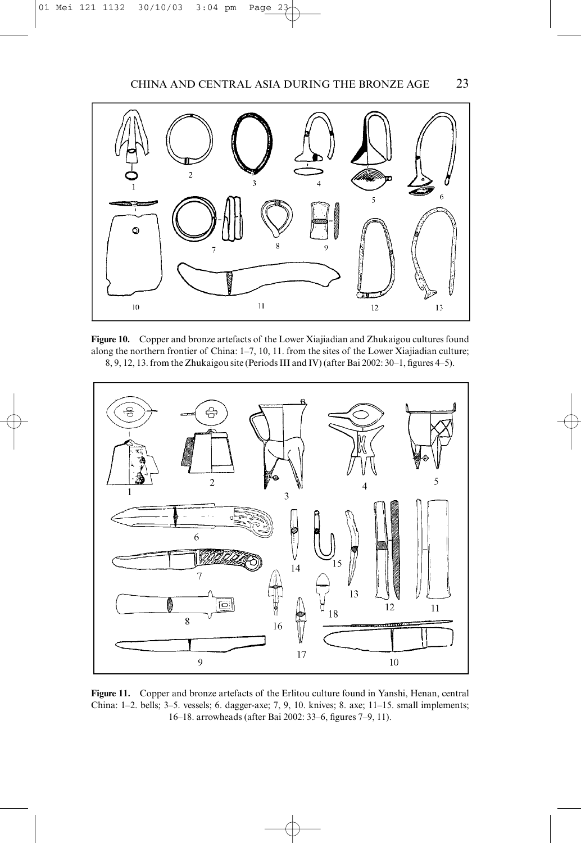

**Figure 10.** Copper and bronze artefacts of the Lower Xiajiadian and Zhukaigou cultures found along the northern frontier of China: 1–7, 10, 11. from the sites of the Lower Xiajiadian culture; 8, 9, 12, 13. from the Zhukaigou site (Periods III and IV) (after Bai 2002: 30–1, figures 4–5).



**Figure 11.** Copper and bronze artefacts of the Erlitou culture found in Yanshi, Henan, central China: 1–2. bells; 3–5. vessels; 6. dagger-axe; 7, 9, 10. knives; 8. axe; 11–15. small implements; 16–18. arrowheads (after Bai 2002: 33–6, figures 7–9, 11).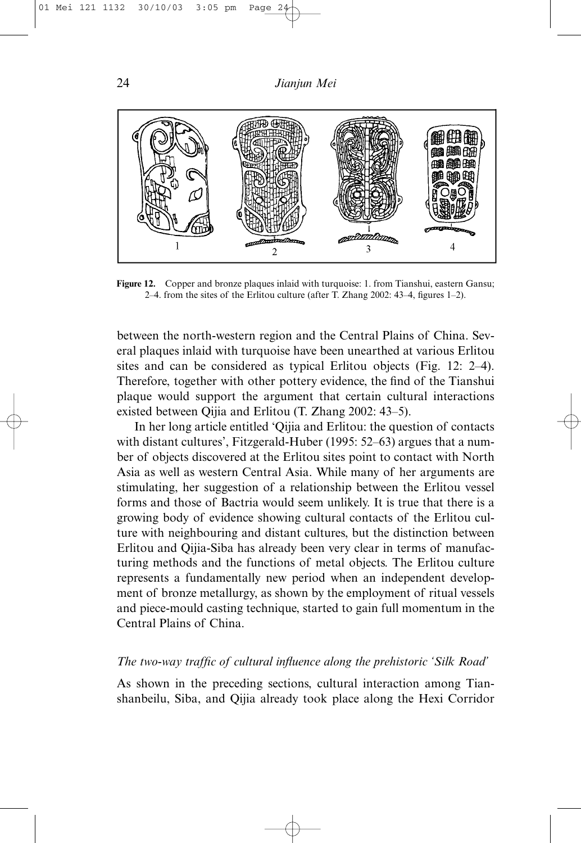

**Figure 12.** Copper and bronze plaques inlaid with turquoise: 1. from Tianshui, eastern Gansu; 2–4. from the sites of the Erlitou culture (after T. Zhang 2002: 43–4, figures 1–2).

between the north-western region and the Central Plains of China. Several plaques inlaid with turquoise have been unearthed at various Erlitou sites and can be considered as typical Erlitou objects (Fig. 12: 2–4). Therefore, together with other pottery evidence, the find of the Tianshui plaque would support the argument that certain cultural interactions existed between Qijia and Erlitou (T. Zhang 2002: 43–5).

In her long article entitled 'Qijia and Erlitou: the question of contacts with distant cultures', Fitzgerald-Huber (1995: 52–63) argues that a number of objects discovered at the Erlitou sites point to contact with North Asia as well as western Central Asia. While many of her arguments are stimulating, her suggestion of a relationship between the Erlitou vessel forms and those of Bactria would seem unlikely. It is true that there is a growing body of evidence showing cultural contacts of the Erlitou culture with neighbouring and distant cultures, but the distinction between Erlitou and Qijia-Siba has already been very clear in terms of manufacturing methods and the functions of metal objects. The Erlitou culture represents a fundamentally new period when an independent development of bronze metallurgy, as shown by the employment of ritual vessels and piece-mould casting technique, started to gain full momentum in the Central Plains of China.

## *The two-way traffic of cultural influence along the prehistoric 'Silk Road'*

As shown in the preceding sections, cultural interaction among Tianshanbeilu, Siba, and Qijia already took place along the Hexi Corridor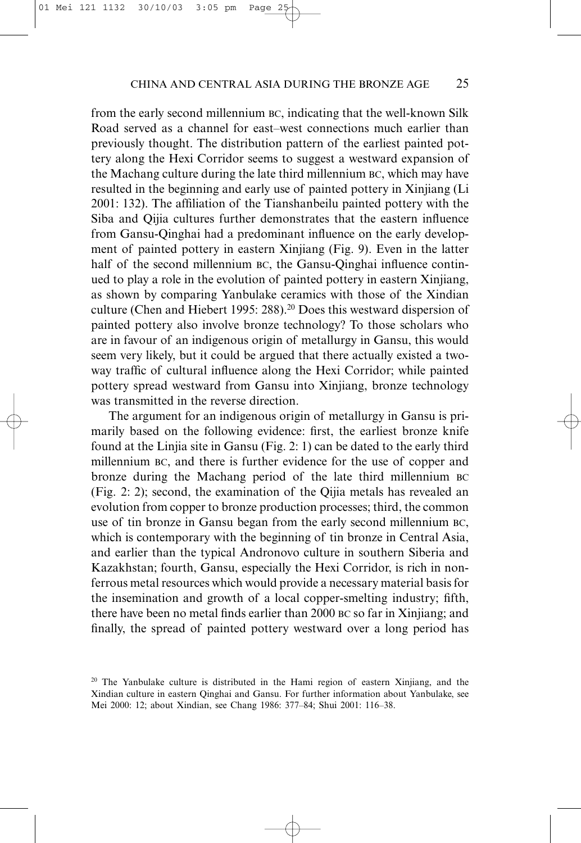from the early second millennium BC, indicating that the well-known Silk Road served as a channel for east–west connections much earlier than previously thought. The distribution pattern of the earliest painted pottery along the Hexi Corridor seems to suggest a westward expansion of the Machang culture during the late third millennium BC, which may have resulted in the beginning and early use of painted pottery in Xinjiang (Li 2001: 132). The affiliation of the Tianshanbeilu painted pottery with the Siba and Qijia cultures further demonstrates that the eastern influence from Gansu-Qinghai had a predominant influence on the early development of painted pottery in eastern Xinjiang (Fig. 9). Even in the latter half of the second millennium BC, the Gansu-Qinghai influence continued to play a role in the evolution of painted pottery in eastern Xinjiang, as shown by comparing Yanbulake ceramics with those of the Xindian culture (Chen and Hiebert 1995: 288).<sup>20</sup> Does this westward dispersion of painted pottery also involve bronze technology? To those scholars who are in favour of an indigenous origin of metallurgy in Gansu, this would seem very likely, but it could be argued that there actually existed a twoway traffic of cultural influence along the Hexi Corridor; while painted pottery spread westward from Gansu into Xinjiang, bronze technology was transmitted in the reverse direction.

The argument for an indigenous origin of metallurgy in Gansu is primarily based on the following evidence: first, the earliest bronze knife found at the Linjia site in Gansu (Fig. 2: 1) can be dated to the early third millennium BC, and there is further evidence for the use of copper and bronze during the Machang period of the late third millennium BC (Fig. 2: 2); second, the examination of the Qijia metals has revealed an evolution from copper to bronze production processes; third, the common use of tin bronze in Gansu began from the early second millennium BC, which is contemporary with the beginning of tin bronze in Central Asia, and earlier than the typical Andronovo culture in southern Siberia and Kazakhstan; fourth, Gansu, especially the Hexi Corridor, is rich in nonferrous metal resources which would provide a necessary material basis for the insemination and growth of a local copper-smelting industry; fifth, there have been no metal finds earlier than 2000 BC so far in Xinjiang; and finally, the spread of painted pottery westward over a long period has

<sup>&</sup>lt;sup>20</sup> The Yanbulake culture is distributed in the Hami region of eastern Xinjiang, and the Xindian culture in eastern Qinghai and Gansu. For further information about Yanbulake, see Mei 2000: 12; about Xindian, see Chang 1986: 377–84; Shui 2001: 116–38.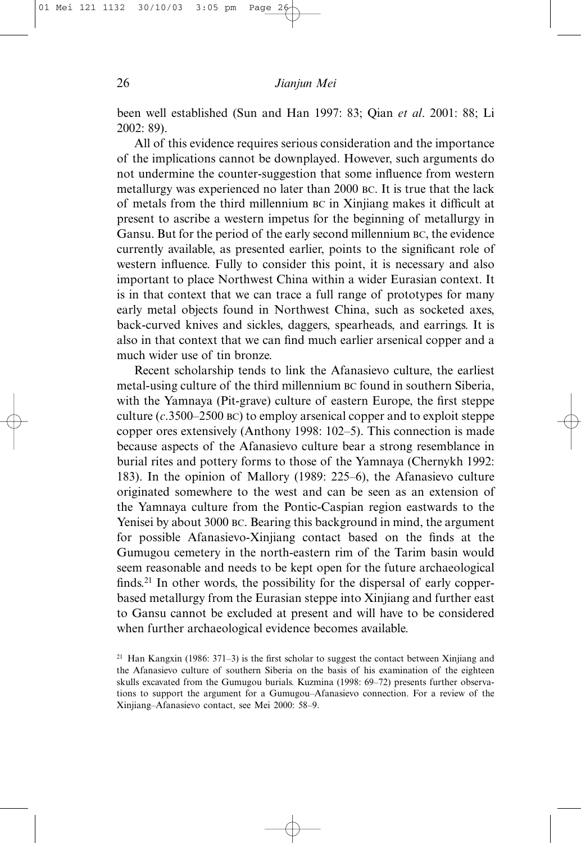been well established (Sun and Han 1997: 83; Qian *et al*. 2001: 88; Li 2002: 89).

All of this evidence requires serious consideration and the importance of the implications cannot be downplayed. However, such arguments do not undermine the counter-suggestion that some influence from western metallurgy was experienced no later than 2000 BC. It is true that the lack of metals from the third millennium BC in Xinjiang makes it difficult at present to ascribe a western impetus for the beginning of metallurgy in Gansu. But for the period of the early second millennium BC, the evidence currently available, as presented earlier, points to the significant role of western influence. Fully to consider this point, it is necessary and also important to place Northwest China within a wider Eurasian context. It is in that context that we can trace a full range of prototypes for many early metal objects found in Northwest China, such as socketed axes, back-curved knives and sickles, daggers, spearheads, and earrings. It is also in that context that we can find much earlier arsenical copper and a much wider use of tin bronze.

Recent scholarship tends to link the Afanasievo culture, the earliest metal-using culture of the third millennium BC found in southern Siberia, with the Yamnaya (Pit-grave) culture of eastern Europe, the first steppe culture (*c*.3500–2500 BC) to employ arsenical copper and to exploit steppe copper ores extensively (Anthony 1998: 102–5). This connection is made because aspects of the Afanasievo culture bear a strong resemblance in burial rites and pottery forms to those of the Yamnaya (Chernykh 1992: 183). In the opinion of Mallory (1989: 225–6), the Afanasievo culture originated somewhere to the west and can be seen as an extension of the Yamnaya culture from the Pontic-Caspian region eastwards to the Yenisei by about 3000 BC. Bearing this background in mind, the argument for possible Afanasievo-Xinjiang contact based on the finds at the Gumugou cemetery in the north-eastern rim of the Tarim basin would seem reasonable and needs to be kept open for the future archaeological finds.<sup>21</sup> In other words, the possibility for the dispersal of early copperbased metallurgy from the Eurasian steppe into Xinjiang and further east to Gansu cannot be excluded at present and will have to be considered when further archaeological evidence becomes available.

<sup>&</sup>lt;sup>21</sup> Han Kangxin (1986: 371–3) is the first scholar to suggest the contact between Xinjiang and the Afanasievo culture of southern Siberia on the basis of his examination of the eighteen skulls excavated from the Gumugou burials. Kuzmina (1998: 69–72) presents further observations to support the argument for a Gumugou–Afanasievo connection. For a review of the Xinjiang–Afanasievo contact, see Mei 2000: 58–9.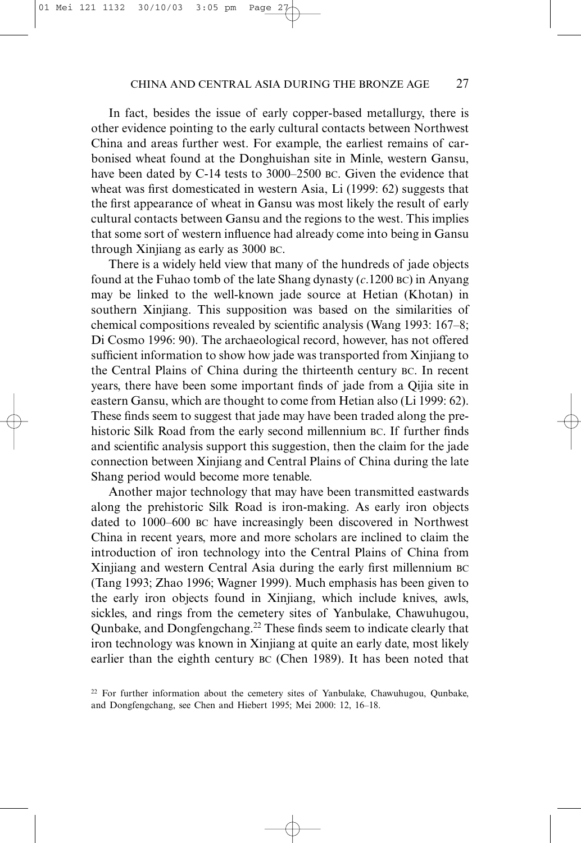In fact, besides the issue of early copper-based metallurgy, there is other evidence pointing to the early cultural contacts between Northwest China and areas further west. For example, the earliest remains of carbonised wheat found at the Donghuishan site in Minle, western Gansu, have been dated by C-14 tests to 3000–2500 BC. Given the evidence that wheat was first domesticated in western Asia, Li (1999: 62) suggests that the first appearance of wheat in Gansu was most likely the result of early cultural contacts between Gansu and the regions to the west. This implies that some sort of western influence had already come into being in Gansu through Xinjiang as early as 3000 BC.

There is a widely held view that many of the hundreds of jade objects found at the Fuhao tomb of the late Shang dynasty (*c*.1200 BC) in Anyang may be linked to the well-known jade source at Hetian (Khotan) in southern Xinjiang. This supposition was based on the similarities of chemical compositions revealed by scientific analysis (Wang 1993: 167–8; Di Cosmo 1996: 90). The archaeological record, however, has not offered sufficient information to show how jade was transported from Xinjiang to the Central Plains of China during the thirteenth century BC. In recent years, there have been some important finds of jade from a Qijia site in eastern Gansu, which are thought to come from Hetian also (Li 1999: 62). These finds seem to suggest that jade may have been traded along the prehistoric Silk Road from the early second millennium BC. If further finds and scientific analysis support this suggestion, then the claim for the jade connection between Xinjiang and Central Plains of China during the late Shang period would become more tenable.

Another major technology that may have been transmitted eastwards along the prehistoric Silk Road is iron-making. As early iron objects dated to 1000–600 BC have increasingly been discovered in Northwest China in recent years, more and more scholars are inclined to claim the introduction of iron technology into the Central Plains of China from Xinjiang and western Central Asia during the early first millennium BC (Tang 1993; Zhao 1996; Wagner 1999). Much emphasis has been given to the early iron objects found in Xinjiang, which include knives, awls, sickles, and rings from the cemetery sites of Yanbulake, Chawuhugou, Qunbake, and Dongfengchang.22 These finds seem to indicate clearly that iron technology was known in Xinjiang at quite an early date, most likely earlier than the eighth century BC (Chen 1989). It has been noted that

 $22$  For further information about the cemetery sites of Yanbulake, Chawuhugou, Qunbake, and Dongfengchang, see Chen and Hiebert 1995; Mei 2000: 12, 16–18.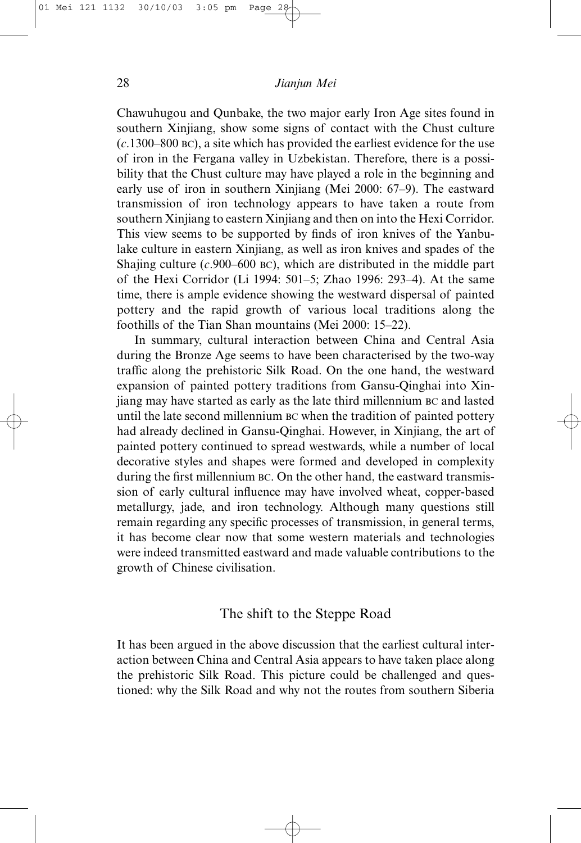Chawuhugou and Qunbake, the two major early Iron Age sites found in southern Xinjiang, show some signs of contact with the Chust culture (*c*.1300–800 BC), a site which has provided the earliest evidence for the use of iron in the Fergana valley in Uzbekistan. Therefore, there is a possibility that the Chust culture may have played a role in the beginning and early use of iron in southern Xinjiang (Mei 2000: 67–9). The eastward transmission of iron technology appears to have taken a route from southern Xinjiang to eastern Xinjiang and then on into the Hexi Corridor. This view seems to be supported by finds of iron knives of the Yanbulake culture in eastern Xinjiang, as well as iron knives and spades of the Shajing culture (*c*.900–600 BC), which are distributed in the middle part of the Hexi Corridor (Li 1994: 501–5; Zhao 1996: 293–4). At the same time, there is ample evidence showing the westward dispersal of painted pottery and the rapid growth of various local traditions along the foothills of the Tian Shan mountains (Mei 2000: 15–22).

In summary, cultural interaction between China and Central Asia during the Bronze Age seems to have been characterised by the two-way traffic along the prehistoric Silk Road. On the one hand, the westward expansion of painted pottery traditions from Gansu-Qinghai into Xinjiang may have started as early as the late third millennium BC and lasted until the late second millennium BC when the tradition of painted pottery had already declined in Gansu-Qinghai. However, in Xinjiang, the art of painted pottery continued to spread westwards, while a number of local decorative styles and shapes were formed and developed in complexity during the first millennium BC. On the other hand, the eastward transmission of early cultural influence may have involved wheat, copper-based metallurgy, jade, and iron technology. Although many questions still remain regarding any specific processes of transmission, in general terms, it has become clear now that some western materials and technologies were indeed transmitted eastward and made valuable contributions to the growth of Chinese civilisation.

# The shift to the Steppe Road

It has been argued in the above discussion that the earliest cultural interaction between China and Central Asia appears to have taken place along the prehistoric Silk Road. This picture could be challenged and questioned: why the Silk Road and why not the routes from southern Siberia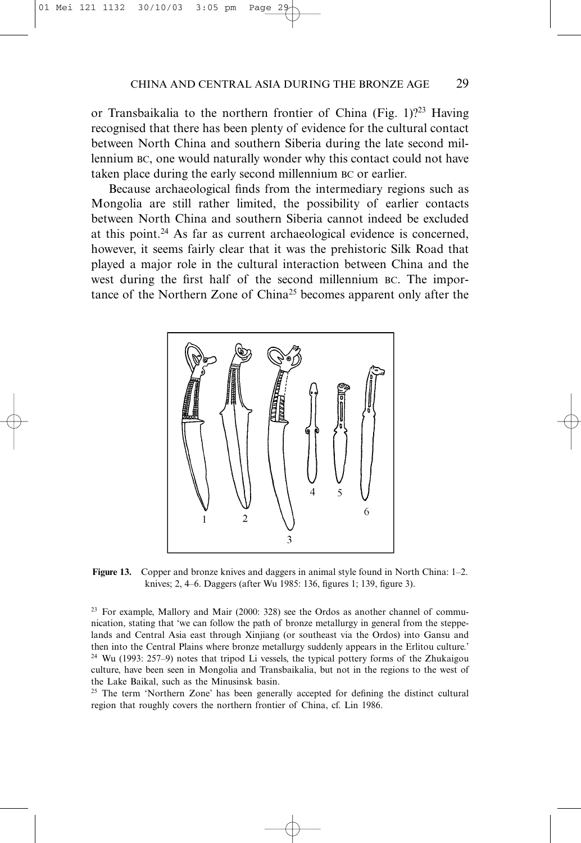or Transbaikalia to the northern frontier of China (Fig. 1)?<sup>23</sup> Having recognised that there has been plenty of evidence for the cultural contact between North China and southern Siberia during the late second millennium BC, one would naturally wonder why this contact could not have taken place during the early second millennium BC or earlier.

Because archaeological finds from the intermediary regions such as Mongolia are still rather limited, the possibility of earlier contacts between North China and southern Siberia cannot indeed be excluded at this point.24 As far as current archaeological evidence is concerned, however, it seems fairly clear that it was the prehistoric Silk Road that played a major role in the cultural interaction between China and the west during the first half of the second millennium BC. The importance of the Northern Zone of China<sup>25</sup> becomes apparent only after the



**Figure 13.** Copper and bronze knives and daggers in animal style found in North China: 1–2. knives; 2, 4–6. Daggers (after Wu 1985: 136, figures 1; 139, figure 3).

<sup>23</sup> For example, Mallory and Mair (2000: 328) see the Ordos as another channel of communication, stating that 'we can follow the path of bronze metallurgy in general from the steppelands and Central Asia east through Xinjiang (or southeast via the Ordos) into Gansu and then into the Central Plains where bronze metallurgy suddenly appears in the Erlitou culture.' <sup>24</sup> Wu (1993: 257–9) notes that tripod Li vessels, the typical pottery forms of the Zhukaigou culture, have been seen in Mongolia and Transbaikalia, but not in the regions to the west of the Lake Baikal, such as the Minusinsk basin.

<sup>25</sup> The term 'Northern Zone' has been generally accepted for defining the distinct cultural region that roughly covers the northern frontier of China, cf. Lin 1986.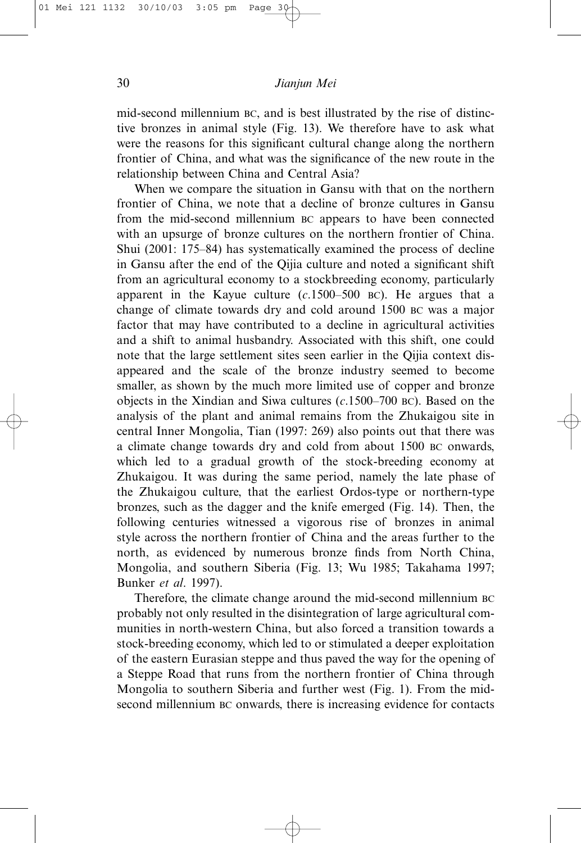mid-second millennium BC, and is best illustrated by the rise of distinctive bronzes in animal style (Fig. 13). We therefore have to ask what were the reasons for this significant cultural change along the northern frontier of China, and what was the significance of the new route in the relationship between China and Central Asia?

When we compare the situation in Gansu with that on the northern frontier of China, we note that a decline of bronze cultures in Gansu from the mid-second millennium BC appears to have been connected with an upsurge of bronze cultures on the northern frontier of China. Shui (2001: 175–84) has systematically examined the process of decline in Gansu after the end of the Qijia culture and noted a significant shift from an agricultural economy to a stockbreeding economy, particularly apparent in the Kayue culture (*c*.1500–500 BC). He argues that a change of climate towards dry and cold around 1500 BC was a major factor that may have contributed to a decline in agricultural activities and a shift to animal husbandry. Associated with this shift, one could note that the large settlement sites seen earlier in the Qijia context disappeared and the scale of the bronze industry seemed to become smaller, as shown by the much more limited use of copper and bronze objects in the Xindian and Siwa cultures (*c*.1500–700 BC). Based on the analysis of the plant and animal remains from the Zhukaigou site in central Inner Mongolia, Tian (1997: 269) also points out that there was a climate change towards dry and cold from about 1500 BC onwards, which led to a gradual growth of the stock-breeding economy at Zhukaigou. It was during the same period, namely the late phase of the Zhukaigou culture, that the earliest Ordos-type or northern-type bronzes, such as the dagger and the knife emerged (Fig. 14). Then, the following centuries witnessed a vigorous rise of bronzes in animal style across the northern frontier of China and the areas further to the north, as evidenced by numerous bronze finds from North China, Mongolia, and southern Siberia (Fig. 13; Wu 1985; Takahama 1997; Bunker *et al*. 1997).

Therefore, the climate change around the mid-second millennium BC probably not only resulted in the disintegration of large agricultural communities in north-western China, but also forced a transition towards a stock-breeding economy, which led to or stimulated a deeper exploitation of the eastern Eurasian steppe and thus paved the way for the opening of a Steppe Road that runs from the northern frontier of China through Mongolia to southern Siberia and further west (Fig. 1). From the midsecond millennium BC onwards, there is increasing evidence for contacts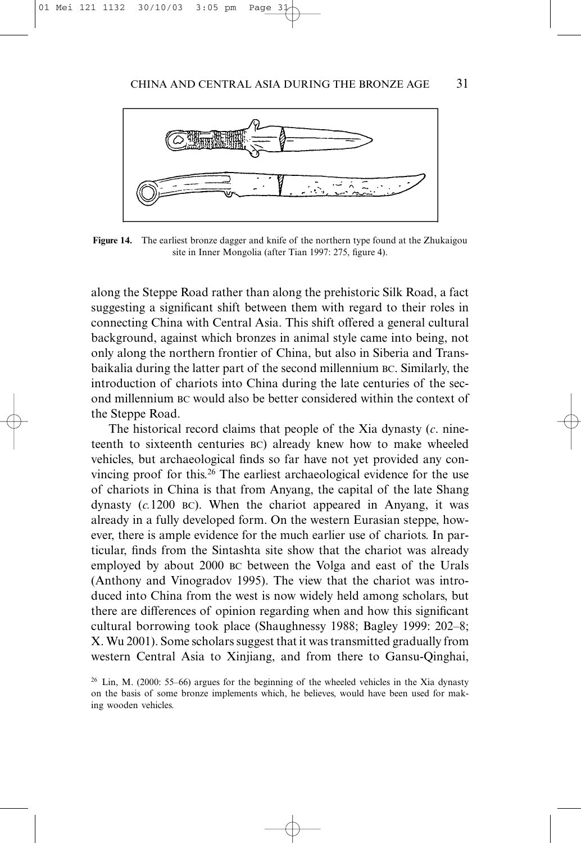

**Figure 14.** The earliest bronze dagger and knife of the northern type found at the Zhukaigou site in Inner Mongolia (after Tian 1997: 275, figure 4).

along the Steppe Road rather than along the prehistoric Silk Road, a fact suggesting a significant shift between them with regard to their roles in connecting China with Central Asia. This shift offered a general cultural background, against which bronzes in animal style came into being, not only along the northern frontier of China, but also in Siberia and Transbaikalia during the latter part of the second millennium BC. Similarly, the introduction of chariots into China during the late centuries of the second millennium BC would also be better considered within the context of the Steppe Road.

The historical record claims that people of the Xia dynasty (*c*. nineteenth to sixteenth centuries BC) already knew how to make wheeled vehicles, but archaeological finds so far have not yet provided any convincing proof for this.<sup>26</sup> The earliest archaeological evidence for the use of chariots in China is that from Anyang, the capital of the late Shang dynasty (*c.*1200 BC). When the chariot appeared in Anyang, it was already in a fully developed form. On the western Eurasian steppe, however, there is ample evidence for the much earlier use of chariots. In particular, finds from the Sintashta site show that the chariot was already employed by about 2000 BC between the Volga and east of the Urals (Anthony and Vinogradov 1995). The view that the chariot was introduced into China from the west is now widely held among scholars, but there are differences of opinion regarding when and how this significant cultural borrowing took place (Shaughnessy 1988; Bagley 1999: 202–8; X. Wu 2001). Some scholars suggest that it was transmitted gradually from western Central Asia to Xinjiang, and from there to Gansu-Qinghai,

<sup>&</sup>lt;sup>26</sup> Lin, M. (2000: 55–66) argues for the beginning of the wheeled vehicles in the Xia dynasty on the basis of some bronze implements which, he believes, would have been used for making wooden vehicles.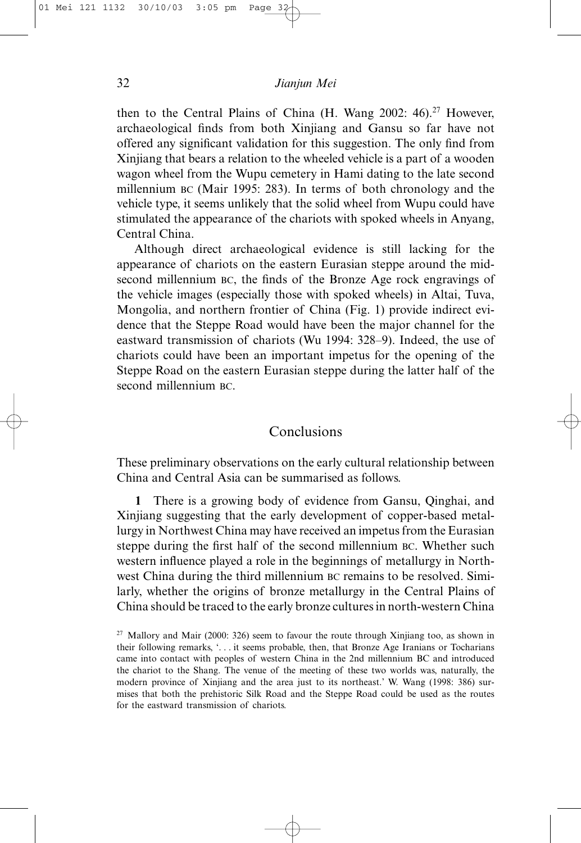then to the Central Plains of China (H. Wang 2002:  $46$ ).<sup>27</sup> However, archaeological finds from both Xinjiang and Gansu so far have not offered any significant validation for this suggestion. The only find from Xinjiang that bears a relation to the wheeled vehicle is a part of a wooden wagon wheel from the Wupu cemetery in Hami dating to the late second millennium BC (Mair 1995: 283). In terms of both chronology and the vehicle type, it seems unlikely that the solid wheel from Wupu could have stimulated the appearance of the chariots with spoked wheels in Anyang, Central China.

Although direct archaeological evidence is still lacking for the appearance of chariots on the eastern Eurasian steppe around the midsecond millennium BC, the finds of the Bronze Age rock engravings of the vehicle images (especially those with spoked wheels) in Altai, Tuva, Mongolia, and northern frontier of China (Fig. 1) provide indirect evidence that the Steppe Road would have been the major channel for the eastward transmission of chariots (Wu 1994: 328–9). Indeed, the use of chariots could have been an important impetus for the opening of the Steppe Road on the eastern Eurasian steppe during the latter half of the second millennium BC.

## **Conclusions**

These preliminary observations on the early cultural relationship between China and Central Asia can be summarised as follows.

**1** There is a growing body of evidence from Gansu, Qinghai, and Xinjiang suggesting that the early development of copper-based metallurgy in Northwest China may have received an impetus from the Eurasian steppe during the first half of the second millennium BC. Whether such western influence played a role in the beginnings of metallurgy in Northwest China during the third millennium BC remains to be resolved. Similarly, whether the origins of bronze metallurgy in the Central Plains of China should be traced to the early bronze cultures in north-western China

<sup>&</sup>lt;sup>27</sup> Mallory and Mair (2000: 326) seem to favour the route through Xinjiang too, as shown in their following remarks, '. . . it seems probable, then, that Bronze Age Iranians or Tocharians came into contact with peoples of western China in the 2nd millennium BC and introduced the chariot to the Shang. The venue of the meeting of these two worlds was, naturally, the modern province of Xinjiang and the area just to its northeast.' W. Wang (1998: 386) surmises that both the prehistoric Silk Road and the Steppe Road could be used as the routes for the eastward transmission of chariots.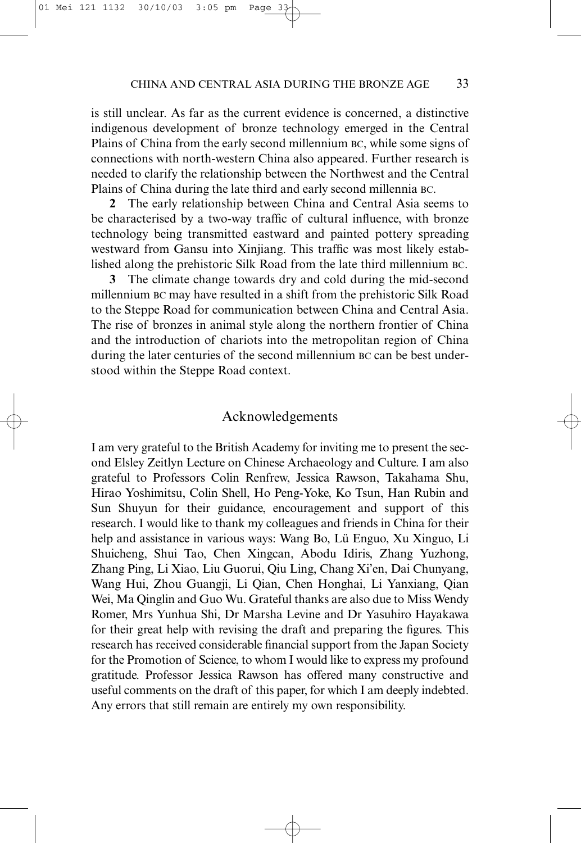is still unclear. As far as the current evidence is concerned, a distinctive indigenous development of bronze technology emerged in the Central Plains of China from the early second millennium BC, while some signs of connections with north-western China also appeared. Further research is needed to clarify the relationship between the Northwest and the Central Plains of China during the late third and early second millennia BC.

**2** The early relationship between China and Central Asia seems to be characterised by a two-way traffic of cultural influence, with bronze technology being transmitted eastward and painted pottery spreading westward from Gansu into Xinjiang. This traffic was most likely established along the prehistoric Silk Road from the late third millennium BC.

**3** The climate change towards dry and cold during the mid-second millennium BC may have resulted in a shift from the prehistoric Silk Road to the Steppe Road for communication between China and Central Asia. The rise of bronzes in animal style along the northern frontier of China and the introduction of chariots into the metropolitan region of China during the later centuries of the second millennium BC can be best understood within the Steppe Road context.

# Acknowledgements

I am very grateful to the British Academy for inviting me to present the second Elsley Zeitlyn Lecture on Chinese Archaeology and Culture. I am also grateful to Professors Colin Renfrew, Jessica Rawson, Takahama Shu, Hirao Yoshimitsu, Colin Shell, Ho Peng-Yoke, Ko Tsun, Han Rubin and Sun Shuyun for their guidance, encouragement and support of this research. I would like to thank my colleagues and friends in China for their help and assistance in various ways: Wang Bo, Lü Enguo, Xu Xinguo, Li Shuicheng, Shui Tao, Chen Xingcan, Abodu Idiris, Zhang Yuzhong, Zhang Ping, Li Xiao, Liu Guorui, Qiu Ling, Chang Xi'en, Dai Chunyang, Wang Hui, Zhou Guangji, Li Qian, Chen Honghai, Li Yanxiang, Qian Wei, Ma Qinglin and Guo Wu. Grateful thanks are also due to Miss Wendy Romer, Mrs Yunhua Shi, Dr Marsha Levine and Dr Yasuhiro Hayakawa for their great help with revising the draft and preparing the figures. This research has received considerable financial support from the Japan Society for the Promotion of Science, to whom I would like to express my profound gratitude. Professor Jessica Rawson has offered many constructive and useful comments on the draft of this paper, for which I am deeply indebted. Any errors that still remain are entirely my own responsibility.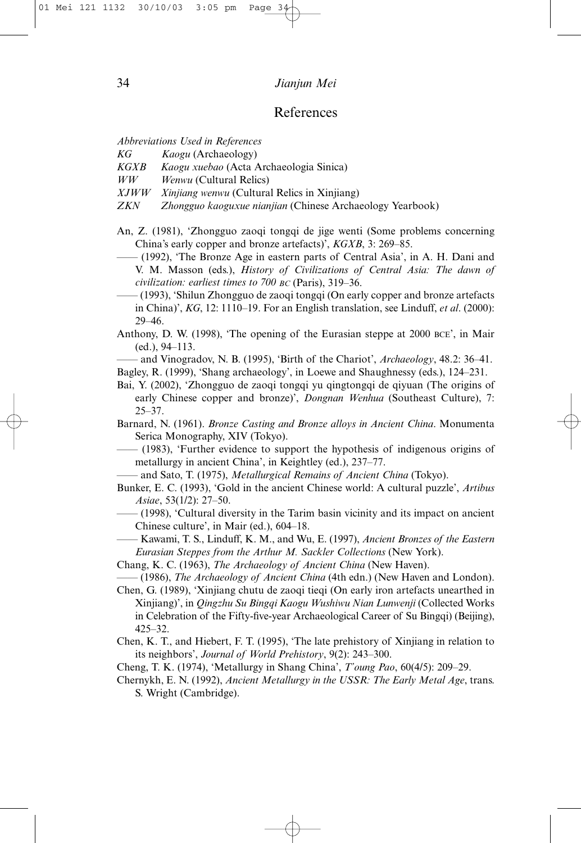## References

*Abbreviations Used in References*

*KG Kaogu* (Archaeology)

*KGXB Kaogu xuebao* (Acta Archaeologia Sinica)

*WW Wenwu* (Cultural Relics)

- *XJWW Xinjiang wenwu* (Cultural Relics in Xinjiang)
- *ZKN Zhongguo kaoguxue nianjian* (Chinese Archaeology Yearbook)
- An, Z. (1981), 'Zhongguo zaoqi tongqi de jige wenti (Some problems concerning China's early copper and bronze artefacts)', *KGXB*, 3: 269–85.
	- —— (1992), 'The Bronze Age in eastern parts of Central Asia', in A. H. Dani and V. M. Masson (eds.), *History of Civilizations of Central Asia: The dawn of civilization: earliest times to 700 BC* (Paris), 319–36.
- —— (1993), 'Shilun Zhongguo de zaoqi tongqi (On early copper and bronze artefacts in China)', *KG*, 12: 1110–19. For an English translation, see Linduff, *et al*. (2000): 29–46.
- Anthony, D. W. (1998), 'The opening of the Eurasian steppe at 2000 BCE', in Mair (ed.), 94–113.

—— and Vinogradov, N. B. (1995), 'Birth of the Chariot', *Archaeology*, 48.2: 36–41.

Bagley, R. (1999), 'Shang archaeology', in Loewe and Shaughnessy (eds.), 124–231.

- Bai, Y. (2002), 'Zhongguo de zaoqi tongqi yu qingtongqi de qiyuan (The origins of early Chinese copper and bronze)', *Dongnan Wenhua* (Southeast Culture), 7: 25–37.
- Barnard, N. (1961). *Bronze Casting and Bronze alloys in Ancient China*. Monumenta Serica Monography, XIV (Tokyo).
- —— (1983), 'Further evidence to support the hypothesis of indigenous origins of metallurgy in ancient China', in Keightley (ed.), 237–77.
- —— and Sato, T. (1975), *Metallurgical Remains of Ancient China* (Tokyo).
- Bunker, E. C. (1993), 'Gold in the ancient Chinese world: A cultural puzzle', *Artibus Asiae*, 53(1/2): 27–50.
	- —— (1998), 'Cultural diversity in the Tarim basin vicinity and its impact on ancient Chinese culture', in Mair (ed.), 604–18.
- —— Kawami, T. S., Linduff, K. M., and Wu, E. (1997), *Ancient Bronzes of the Eastern Eurasian Steppes from the Arthur M. Sackler Collections* (New York).
- Chang, K. C. (1963), *The Archaeology of Ancient China* (New Haven).

—— (1986), *The Archaeology of Ancient China* (4th edn.) (New Haven and London).

Chen, G. (1989), 'Xinjiang chutu de zaoqi tieqi (On early iron artefacts unearthed in Xinjiang)', in *Qingzhu Su Bingqi Kaogu Wushiwu Nian Lunwenji* (Collected Works in Celebration of the Fifty-five-year Archaeological Career of Su Bingqi) (Beijing), 425–32.

- Chen, K. T., and Hiebert, F. T. (1995), 'The late prehistory of Xinjiang in relation to its neighbors', *Journal of World Prehistory*, 9(2): 243–300.
- Cheng, T. K. (1974), 'Metallurgy in Shang China', *T'oung Pao*, 60(4/5): 209–29.
- Chernykh, E. N. (1992), *Ancient Metallurgy in the USSR: The Early Metal Age*, trans. S. Wright (Cambridge).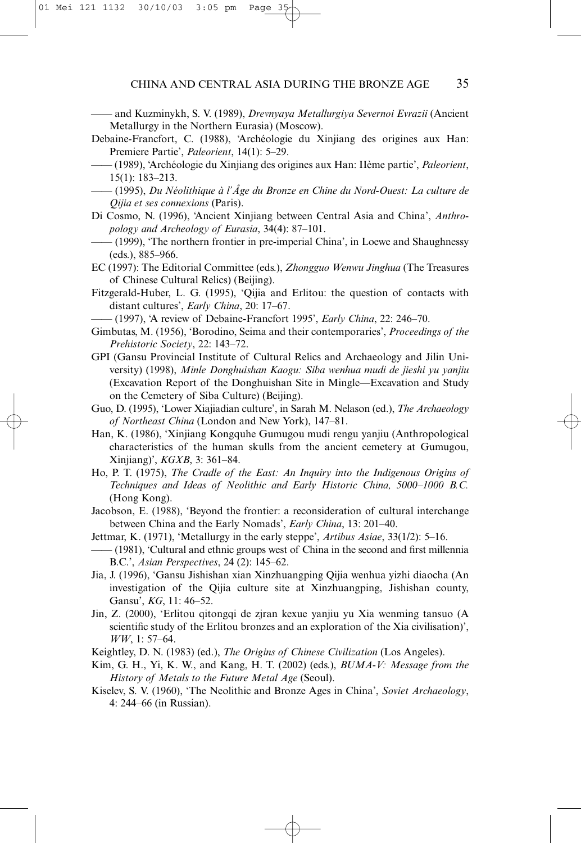—— and Kuzminykh, S. V. (1989), *Drevnyaya Metallurgiya Severnoi Evrazii* (Ancient Metallurgy in the Northern Eurasia) (Moscow).

- Debaine-Francfort, C. (1988), 'Archéologie du Xinjiang des origines aux Han: Premiere Partie', *Paleorient*, 14(1): 5–29.
- —— (1989), 'Archéologie du Xinjiang des origines aux Han: IIème partie', *Paleorient*, 15(1): 183–213.
- —— (1995), *Du Néolithique à l'Âge du Bronze en Chine du Nord-Ouest: La culture de Qijia et ses connexions* (Paris).
- Di Cosmo, N. (1996), 'Ancient Xinjiang between Central Asia and China', *Anthropology and Archeology of Eurasia*, 34(4): 87–101.
- —— (1999), 'The northern frontier in pre-imperial China', in Loewe and Shaughnessy (eds.), 885–966.
- EC (1997): The Editorial Committee (eds.), *Zhongguo Wenwu Jinghua* (The Treasures of Chinese Cultural Relics) (Beijing).
- Fitzgerald-Huber, L. G. (1995), 'Qijia and Erlitou: the question of contacts with distant cultures', *Early China*, 20: 17–67.

—— (1997), 'A review of Debaine-Francfort 1995', *Early China*, 22: 246–70.

- Gimbutas, M. (1956), 'Borodino, Seima and their contemporaries', *Proceedings of the Prehistoric Society*, 22: 143–72.
- GPI (Gansu Provincial Institute of Cultural Relics and Archaeology and Jilin University) (1998), *Minle Donghuishan Kaogu: Siba wenhua mudi de jieshi yu yanjiu* (Excavation Report of the Donghuishan Site in Mingle—Excavation and Study on the Cemetery of Siba Culture) (Beijing).
- Guo, D. (1995), 'Lower Xiajiadian culture', in Sarah M. Nelason (ed.), *The Archaeology of Northeast China* (London and New York), 147–81.
- Han, K. (1986), 'Xinjiang Kongquhe Gumugou mudi rengu yanjiu (Anthropological characteristics of the human skulls from the ancient cemetery at Gumugou, Xinjiang)', *KGXB*, 3: 361–84.
- Ho, P. T. (1975), *The Cradle of the East: An Inquiry into the Indigenous Origins of Techniques and Ideas of Neolithic and Early Historic China, 5000–1000 B.C.* (Hong Kong).
- Jacobson, E. (1988), 'Beyond the frontier: a reconsideration of cultural interchange between China and the Early Nomads', *Early China*, 13: 201–40.
- Jettmar, K. (1971), 'Metallurgy in the early steppe', *Artibus Asiae*, 33(1/2): 5–16.
- —— (1981), 'Cultural and ethnic groups west of China in the second and first millennia B.C.', *Asian Perspectives*, 24 (2): 145–62.
- Jia, J. (1996), 'Gansu Jishishan xian Xinzhuangping Qijia wenhua yizhi diaocha (An investigation of the Qijia culture site at Xinzhuangping, Jishishan county, Gansu', *KG*, 11: 46–52.
- Jin, Z. (2000), 'Erlitou qitongqi de zjran kexue yanjiu yu Xia wenming tansuo (A scientific study of the Erlitou bronzes and an exploration of the Xia civilisation)', *WW*, 1: 57–64.
- Keightley, D. N. (1983) (ed.), *The Origins of Chinese Civilization* (Los Angeles).
- Kim, G. H., Yi, K. W., and Kang, H. T. (2002) (eds.), *BUMA-V: Message from the History of Metals to the Future Metal Age* (Seoul).
- Kiselev, S. V. (1960), 'The Neolithic and Bronze Ages in China', *Soviet Archaeology*, 4: 244–66 (in Russian).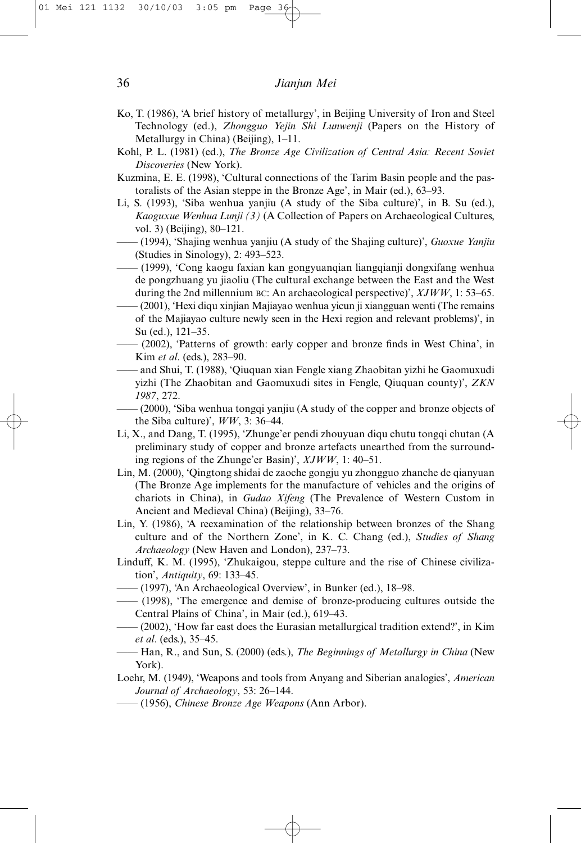- Ko, T. (1986), 'A brief history of metallurgy', in Beijing University of Iron and Steel Technology (ed.), *Zhongguo Yejin Shi Lunwenji* (Papers on the History of Metallurgy in China) (Beijing), 1–11.
- Kohl, P. L. (1981) (ed.), *The Bronze Age Civilization of Central Asia: Recent Soviet Discoveries* (New York).
- Kuzmina, E. E. (1998), 'Cultural connections of the Tarim Basin people and the pastoralists of the Asian steppe in the Bronze Age', in Mair (ed.), 63–93.
- Li, S. (1993), 'Siba wenhua yanjiu (A study of the Siba culture)', in B. Su (ed.), *Kaoguxue Wenhua Lunji (3)* (A Collection of Papers on Archaeological Cultures, vol. 3) (Beijing), 80–121.
	- —— (1994), 'Shajing wenhua yanjiu (A study of the Shajing culture)', *Guoxue Yanjiu* (Studies in Sinology), 2: 493–523.
- —— (1999), 'Cong kaogu faxian kan gongyuanqian liangqianji dongxifang wenhua de pongzhuang yu jiaoliu (The cultural exchange between the East and the West during the 2nd millennium BC: An archaeological perspective)',  $XJWW$ , 1: 53–65.
- —— (2001), 'Hexi diqu xinjian Majiayao wenhua yicun ji xiangguan wenti (The remains of the Majiayao culture newly seen in the Hexi region and relevant problems)', in Su (ed.), 121–35.
- —— (2002), 'Patterns of growth: early copper and bronze finds in West China', in Kim *et al*. (eds.), 283–90.
- —— and Shui, T. (1988), 'Qiuquan xian Fengle xiang Zhaobitan yizhi he Gaomuxudi yizhi (The Zhaobitan and Gaomuxudi sites in Fengle, Qiuquan county)', *ZKN 1987*, 272.
- —— (2000), 'Siba wenhua tongqi yanjiu (A study of the copper and bronze objects of the Siba culture)', *WW*, 3: 36–44.
- Li, X., and Dang, T. (1995), 'Zhunge'er pendi zhouyuan diqu chutu tongqi chutan (A preliminary study of copper and bronze artefacts unearthed from the surrounding regions of the Zhunge'er Basin)', *XJWW*, 1: 40–51.
- Lin, M. (2000), 'Qingtong shidai de zaoche gongju yu zhongguo zhanche de qianyuan (The Bronze Age implements for the manufacture of vehicles and the origins of chariots in China), in *Gudao Xifeng* (The Prevalence of Western Custom in Ancient and Medieval China) (Beijing), 33–76.
- Lin, Y. (1986), 'A reexamination of the relationship between bronzes of the Shang culture and of the Northern Zone', in K. C. Chang (ed.), *Studies of Shang Archaeology* (New Haven and London), 237–73.
- Linduff, K. M. (1995), 'Zhukaigou, steppe culture and the rise of Chinese civilization', *Antiquity*, 69: 133–45.
- —— (1997), 'An Archaeological Overview', in Bunker (ed.), 18–98.
- —— (1998), 'The emergence and demise of bronze-producing cultures outside the Central Plains of China', in Mair (ed.), 619–43.
- —— (2002), 'How far east does the Eurasian metallurgical tradition extend?', in Kim *et al*. (eds.), 35–45.
- —— Han, R., and Sun, S. (2000) (eds.), *The Beginnings of Metallurgy in China* (New York).
- Loehr, M. (1949), 'Weapons and tools from Anyang and Siberian analogies', *American Journal of Archaeology*, 53: 26–144.
- —— (1956), *Chinese Bronze Age Weapons* (Ann Arbor).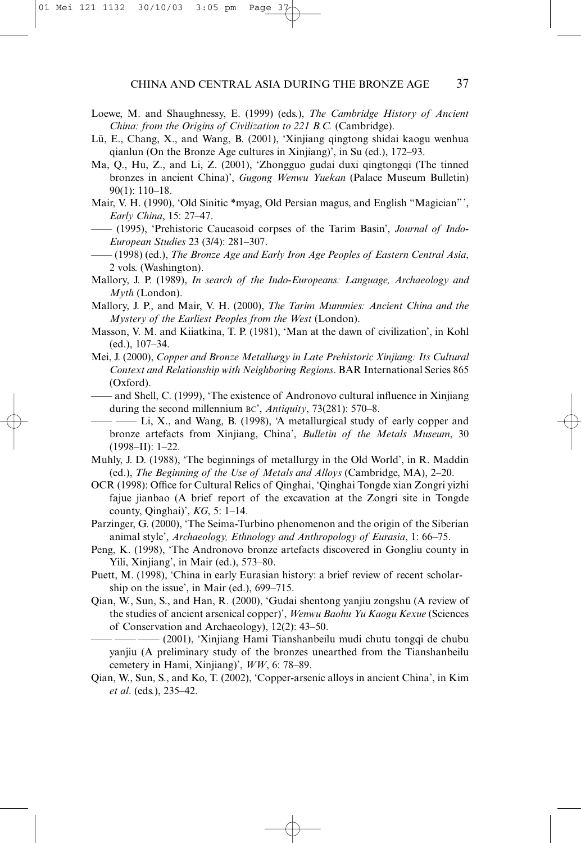- Loewe, M. and Shaughnessy, E. (1999) (eds.), *The Cambridge History of Ancient China: from the Origins of Civilization to 221 B.C.* (Cambridge).
- Lü, E., Chang, X., and Wang, B. (2001), 'Xinjiang qingtong shidai kaogu wenhua qianlun (On the Bronze Age cultures in Xinjiang)', in Su (ed.), 172–93.
- Ma, Q., Hu, Z., and Li, Z. (2001), 'Zhongguo gudai duxi qingtongqi (The tinned bronzes in ancient China)', *Gugong Wenwu Yuekan* (Palace Museum Bulletin) 90(1): 110–18.
- Mair, V. H. (1990), 'Old Sinitic \*myag, Old Persian magus, and English "Magician"', *Early China*, 15: 27–47.
- —— (1995), 'Prehistoric Caucasoid corpses of the Tarim Basin', *Journal of Indo-European Studies* 23 (3/4): 281–307.
- —— (1998) (ed.), *The Bronze Age and Early Iron Age Peoples of Eastern Central Asia*, 2 vols. (Washington).
- Mallory, J. P. (1989), *In search of the Indo-Europeans: Language, Archaeology and Myth* (London).
- Mallory, J. P., and Mair, V. H. (2000), *The Tarim Mummies: Ancient China and the Mystery of the Earliest Peoples from the West* (London).
- Masson, V. M. and Kiiatkina, T. P. (1981), 'Man at the dawn of civilization', in Kohl (ed.), 107–34.
- Mei, J. (2000), *Copper and Bronze Metallurgy in Late Prehistoric Xinjiang: Its Cultural Context and Relationship with Neighboring Regions*. BAR International Series 865 (Oxford).
- —— and Shell, C. (1999), 'The existence of Andronovo cultural influence in Xinjiang during the second millennium BC', *Antiquity*, 73(281): 570–8.
- —— Li, X., and Wang, B. (1998), 'A metallurgical study of early copper and bronze artefacts from Xinjiang, China', *Bulletin of the Metals Museum*, 30 (1998–II): 1–22.
- Muhly, J. D. (1988), 'The beginnings of metallurgy in the Old World', in R. Maddin (ed.), *The Beginning of the Use of Metals and Alloys* (Cambridge, MA), 2–20.
- OCR (1998): Office for Cultural Relics of Qinghai, 'Qinghai Tongde xian Zongri yizhi fajue jianbao (A brief report of the excavation at the Zongri site in Tongde county, Qinghai)', *KG*, 5: 1–14.
- Parzinger, G. (2000), 'The Seima-Turbino phenomenon and the origin of the Siberian animal style', *Archaeology, Ethnology and Anthropology of Eurasia*, 1: 66–75.
- Peng, K. (1998), 'The Andronovo bronze artefacts discovered in Gongliu county in Yili, Xinjiang', in Mair (ed.), 573–80.
- Puett, M. (1998), 'China in early Eurasian history: a brief review of recent scholarship on the issue', in Mair (ed.), 699–715.
- Qian, W., Sun, S., and Han, R. (2000), 'Gudai shentong yanjiu zongshu (A review of the studies of ancient arsenical copper)', *Wenwu Baohu Yu Kaogu Kexue* (Sciences of Conservation and Archaeology), 12(2): 43–50.

—— —— (2001), 'Xinjiang Hami Tianshanbeilu mudi chutu tongqi de chubu yanjiu (A preliminary study of the bronzes unearthed from the Tianshanbeilu cemetery in Hami, Xinjiang)', *WW*, 6: 78–89.

Qian, W., Sun, S., and Ko, T. (2002), 'Copper-arsenic alloys in ancient China', in Kim *et al*. (eds.), 235–42.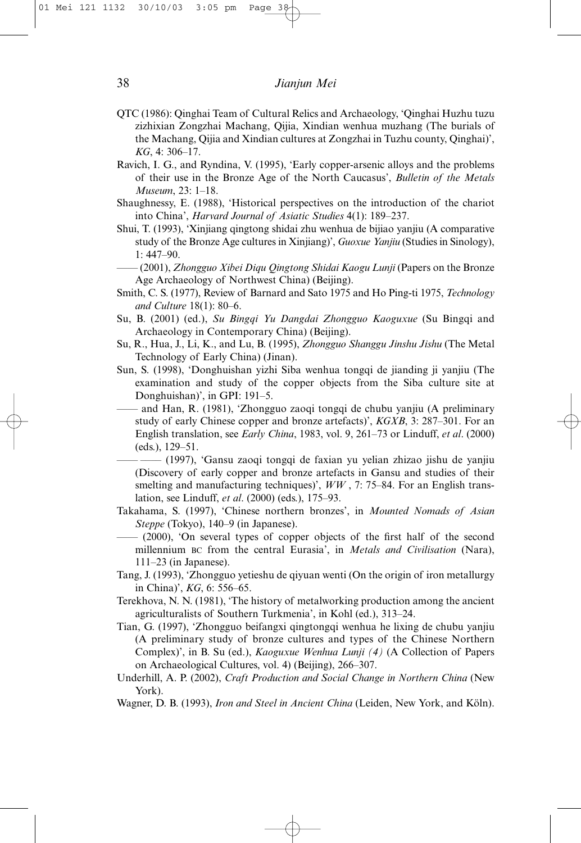- QTC (1986): Qinghai Team of Cultural Relics and Archaeology, 'Qinghai Huzhu tuzu zizhixian Zongzhai Machang, Qijia, Xindian wenhua muzhang (The burials of the Machang, Qijia and Xindian cultures at Zongzhai in Tuzhu county, Qinghai)', *KG*, 4: 306–17.
- Ravich, I. G., and Ryndina, V. (1995), 'Early copper-arsenic alloys and the problems of their use in the Bronze Age of the North Caucasus', *Bulletin of the Metals Museum*, 23: 1–18.
- Shaughnessy, E. (1988), 'Historical perspectives on the introduction of the chariot into China', *Harvard Journal of Asiatic Studies* 4(1): 189–237.
- Shui, T. (1993), 'Xinjiang qingtong shidai zhu wenhua de bijiao yanjiu (A comparative study of the Bronze Age cultures in Xinjiang)', *Guoxue Yanjiu* (Studies in Sinology), 1: 447–90.
- —— (2001), *Zhongguo Xibei Diqu Qingtong Shidai Kaogu Lunji* (Papers on the Bronze Age Archaeology of Northwest China) (Beijing).
- Smith, C. S. (1977), Review of Barnard and Sato 1975 and Ho Ping-ti 1975, *Technology and Culture* 18(1): 80–6.
- Su, B. (2001) (ed.), *Su Bingqi Yu Dangdai Zhongguo Kaoguxue* (Su Bingqi and Archaeology in Contemporary China) (Beijing).
- Su, R., Hua, J., Li, K., and Lu, B. (1995), *Zhongguo Shanggu Jinshu Jishu* (The Metal Technology of Early China) (Jinan).
- Sun, S. (1998), 'Donghuishan yizhi Siba wenhua tongqi de jianding ji yanjiu (The examination and study of the copper objects from the Siba culture site at Donghuishan)', in GPI: 191–5.
- —— and Han, R. (1981), 'Zhongguo zaoqi tongqi de chubu yanjiu (A preliminary study of early Chinese copper and bronze artefacts)', *KGXB*, 3: 287–301. For an English translation, see *Early China*, 1983, vol. 9, 261–73 or Linduff, *et al*. (2000) (eds.), 129–51.
	- (1997), 'Gansu zaoqi tongqi de faxian yu yelian zhizao jishu de yanjiu (Discovery of early copper and bronze artefacts in Gansu and studies of their smelting and manufacturing techniques)', *WW* , 7: 75–84. For an English translation, see Linduff, *et al*. (2000) (eds.), 175–93.
- Takahama, S. (1997), 'Chinese northern bronzes', in *Mounted Nomads of Asian Steppe* (Tokyo), 140–9 (in Japanese).
	- $-$  (2000), 'On several types of copper objects of the first half of the second millennium BC from the central Eurasia', in *Metals and Civilisation* (Nara), 111–23 (in Japanese).
- Tang, J. (1993), 'Zhongguo yetieshu de qiyuan wenti (On the origin of iron metallurgy in China)', *KG*, 6: 556–65.
- Terekhova, N. N. (1981), 'The history of metalworking production among the ancient agriculturalists of Southern Turkmenia', in Kohl (ed.), 313–24.
- Tian, G. (1997), 'Zhongguo beifangxi qingtongqi wenhua he lixing de chubu yanjiu (A preliminary study of bronze cultures and types of the Chinese Northern Complex)', in B. Su (ed.), *Kaoguxue Wenhua Lunji (4)* (A Collection of Papers on Archaeological Cultures, vol. 4) (Beijing), 266–307.
- Underhill, A. P. (2002), *Craft Production and Social Change in Northern China* (New York).
- Wagner, D. B. (1993), *Iron and Steel in Ancient China* (Leiden, New York, and Köln).